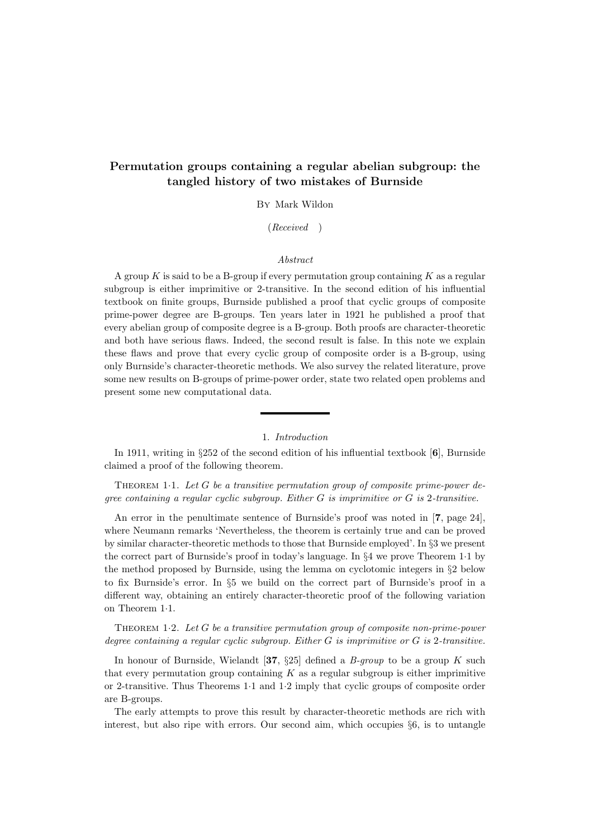# Permutation groups containing a regular abelian subgroup: the tangled history of two mistakes of Burnside

By Mark Wildon

(Received )

### Abstract

A group  $K$  is said to be a B-group if every permutation group containing  $K$  as a regular subgroup is either imprimitive or 2-transitive. In the second edition of his influential textbook on finite groups, Burnside published a proof that cyclic groups of composite prime-power degree are B-groups. Ten years later in 1921 he published a proof that every abelian group of composite degree is a B-group. Both proofs are character-theoretic and both have serious flaws. Indeed, the second result is false. In this note we explain these flaws and prove that every cyclic group of composite order is a B-group, using only Burnside's character-theoretic methods. We also survey the related literature, prove some new results on B-groups of prime-power order, state two related open problems and present some new computational data.

## 1. Introduction

In 1911, writing in §252 of the second edition of his influential textbook [6], Burnside claimed a proof of the following theorem.

THEOREM 1.1. Let  $G$  be a transitive permutation group of composite prime-power degree containing a regular cyclic subgroup. Either  $G$  is imprimitive or  $G$  is 2-transitive.

An error in the penultimate sentence of Burnside's proof was noted in [7, page 24], where Neumann remarks 'Nevertheless, the theorem is certainly true and can be proved by similar character-theoretic methods to those that Burnside employed'. In §3 we present the correct part of Burnside's proof in today's language. In §4 we prove Theorem 1·1 by the method proposed by Burnside, using the lemma on cyclotomic integers in §2 below to fix Burnside's error. In §5 we build on the correct part of Burnside's proof in a different way, obtaining an entirely character-theoretic proof of the following variation on Theorem 1·1.

THEOREM 1.2. Let  $G$  be a transitive permutation group of composite non-prime-power degree containing a regular cyclic subgroup. Either  $G$  is imprimitive or  $G$  is 2-transitive.

In honour of Burnside, Wielandt [37, §25] defined a  $B\text{-}group$  to be a group K such that every permutation group containing  $K$  as a regular subgroup is either imprimitive or 2-transitive. Thus Theorems 1·1 and 1·2 imply that cyclic groups of composite order are B-groups.

The early attempts to prove this result by character-theoretic methods are rich with interest, but also ripe with errors. Our second aim, which occupies §6, is to untangle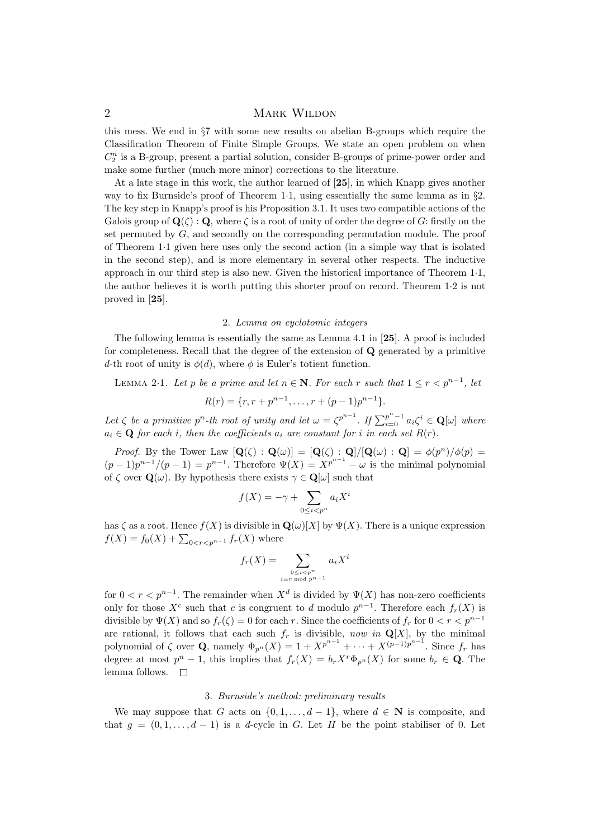this mess. We end in §7 with some new results on abelian B-groups which require the Classification Theorem of Finite Simple Groups. We state an open problem on when  $C_2^n$  is a B-group, present a partial solution, consider B-groups of prime-power order and make some further (much more minor) corrections to the literature.

At a late stage in this work, the author learned of [25], in which Knapp gives another way to fix Burnside's proof of Theorem 1·1, using essentially the same lemma as in §2. The key step in Knapp's proof is his Proposition 3.1. It uses two compatible actions of the Galois group of  $\mathbf{Q}(\zeta)$ : Q, where  $\zeta$  is a root of unity of order the degree of G: firstly on the set permuted by  $G$ , and secondly on the corresponding permutation module. The proof of Theorem 1·1 given here uses only the second action (in a simple way that is isolated in the second step), and is more elementary in several other respects. The inductive approach in our third step is also new. Given the historical importance of Theorem 1·1, the author believes it is worth putting this shorter proof on record. Theorem 1·2 is not proved in [25].

### 2. Lemma on cyclotomic integers

The following lemma is essentially the same as Lemma 4.1 in [25]. A proof is included for completeness. Recall that the degree of the extension of Q generated by a primitive d-th root of unity is  $\phi(d)$ , where  $\phi$  is Euler's totient function.

LEMMA 2.1. Let p be a prime and let  $n \in \mathbb{N}$ . For each r such that  $1 \leq r < p^{n-1}$ , let

$$
R(r) = \{r, r + p^{n-1}, \dots, r + (p-1)p^{n-1}\}.
$$

Let  $\zeta$  be a primitive  $p^n$ -th root of unity and let  $\omega = \zeta^{p^{n-1}}$ . If  $\sum_{i=0}^{p^n-1} a_i \zeta^i \in \mathbf{Q}[\omega]$  where  $a_i \in \mathbf{Q}$  for each i, then the coefficients  $a_i$  are constant for i in each set  $R(r)$ .

*Proof.* By the Tower Law  $[\mathbf{Q}(\zeta) : \mathbf{Q}(\omega)] = [\mathbf{Q}(\zeta) : \mathbf{Q}]/[\mathbf{Q}(\omega) : \mathbf{Q}] = \phi(p^n)/\phi(p)$  $(p-1)p^{n-1}/(p-1) = p^{n-1}$ . Therefore  $\Psi(X) = X^{p^{n-1}} - \omega$  is the minimal polynomial of  $\zeta$  over  $\mathbf{Q}(\omega)$ . By hypothesis there exists  $\gamma \in \mathbf{Q}[\omega]$  such that

$$
f(X) = -\gamma + \sum_{0 \le i < p^n} a_i X^i
$$

has  $\zeta$  as a root. Hence  $f(X)$  is divisible in  $\mathbf{Q}(\omega)[X]$  by  $\Psi(X)$ . There is a unique expression  $f(X) = f_0(X) + \sum_{0 < r < p^{n-1}} f_r(X)$  where

$$
f_r(X) = \sum_{\substack{0 \le i < p^n \\ i \equiv r \bmod p^{n-1}}} a_i X^i
$$

for  $0 < r < p^{n-1}$ . The remainder when  $X<sup>d</sup>$  is divided by  $\Psi(X)$  has non-zero coefficients only for those  $X^c$  such that c is congruent to d modulo  $p^{n-1}$ . Therefore each  $f_r(X)$  is divisible by  $\Psi(X)$  and so  $f_r(\zeta) = 0$  for each r. Since the coefficients of  $f_r$  for  $0 < r < p^{n-1}$ are rational, it follows that each such  $f_r$  is divisible, now in  $\mathbf{Q}[X]$ , by the minimal polynomial of  $\zeta$  over **Q**, namely  $\Phi_{p^n}(X) = 1 + X^{p^{n-1}} + \cdots + X^{(p-1)p^{n-1}}$ . Since  $f_r$  has degree at most  $p^{n} - 1$ , this implies that  $f_{r}(X) = b_{r}X^{r}\Phi_{p^{n}}(X)$  for some  $b_{r} \in \mathbf{Q}$ . The lemma follows.  $\square$ 

#### 3. Burnside's method: preliminary results

We may suppose that G acts on  $\{0, 1, \ldots, d-1\}$ , where  $d \in \mathbb{N}$  is composite, and that  $g = (0, 1, \ldots, d - 1)$  is a d-cycle in G. Let H be the point stabiliser of 0. Let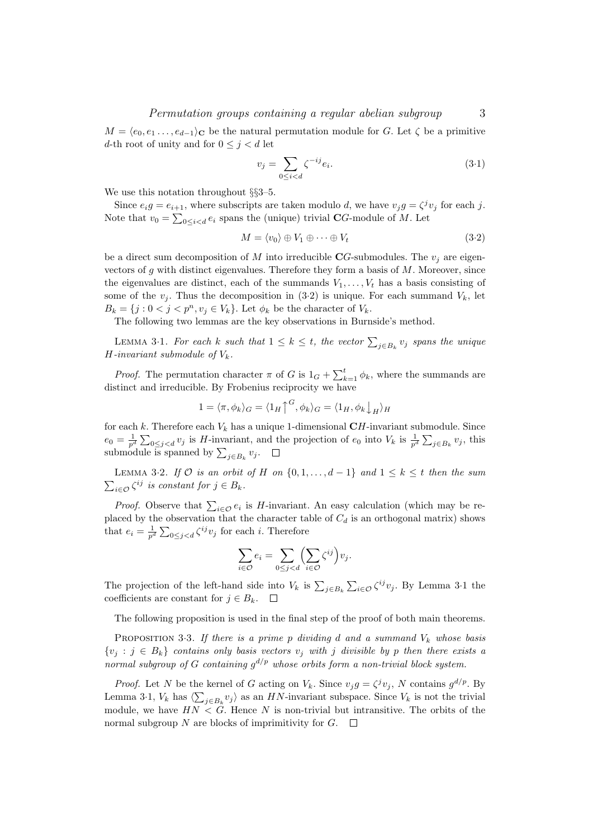$M = \langle e_0, e_1, \ldots, e_{d-1} \rangle_C$  be the natural permutation module for G. Let  $\zeta$  be a primitive d-th root of unity and for  $0 \leq j < d$  let

$$
v_j = \sum_{0 \le i < d} \zeta^{-ij} e_i. \tag{3.1}
$$

We use this notation throughout §§3–5.

Since  $e_i g = e_{i+1}$ , where subscripts are taken modulo d, we have  $v_j g = \zeta^j v_j$  for each j. Note that  $v_0 = \sum_{0 \le i < d} e_i$  spans the (unique) trivial CG-module of M. Let

$$
M = \langle v_0 \rangle \oplus V_1 \oplus \cdots \oplus V_t \tag{3.2}
$$

be a direct sum decomposition of M into irreducible  $CG$ -submodules. The  $v_i$  are eigenvectors of  $g$  with distinct eigenvalues. Therefore they form a basis of  $M$ . Moreover, since the eigenvalues are distinct, each of the summands  $V_1, \ldots, V_t$  has a basis consisting of some of the  $v_i$ . Thus the decomposition in (3.2) is unique. For each summand  $V_k$ , let  $B_k = \{j : 0 < j < p^n, v_j \in V_k\}.$  Let  $\phi_k$  be the character of  $V_k$ .

The following two lemmas are the key observations in Burnside's method.

LEMMA 3.1. For each k such that  $1 \leq k \leq t$ , the vector  $\sum_{j \in B_k} v_j$  spans the unique  $H$ -invariant submodule of  $V_k$ .

*Proof.* The permutation character  $\pi$  of G is  $1_G + \sum_{k=1}^{t} \phi_k$ , where the summands are distinct and irreducible. By Frobenius reciprocity we have

$$
1 = \langle \pi, \phi_k \rangle_G = \langle 1_H \uparrow^G, \phi_k \rangle_G = \langle 1_H, \phi_k \downarrow_H \rangle_H
$$

for each k. Therefore each  $V_k$  has a unique 1-dimensional  $CH$ -invariant submodule. Since  $e_0 = \frac{1}{p^d} \sum_{0 \leq j < d} v_j$  is H-invariant, and the projection of  $e_0$  into  $V_k$  is  $\frac{1}{p^d} \sum_{j \in B_k} v_j$ , this submodule is spanned by  $\sum_{j\in B_k} v_j$ .

LEMMA 3.2. If  $\mathcal O$  is an orbit of H on  $\{0,1,\ldots,d-1\}$  and  $1 \leq k \leq t$  then the sum  $\sum_{i \in \mathcal{O}} \zeta^{ij}$  is constant for  $j \in B_k$ .

*Proof.* Observe that  $\sum_{i \in \mathcal{O}} e_i$  is *H*-invariant. An easy calculation (which may be replaced by the observation that the character table of  $C_d$  is an orthogonal matrix) shows that  $e_i = \frac{1}{p^d} \sum_{0 \leq j < d} \zeta^{ij} v_j$  for each i. Therefore

$$
\sum_{i \in \mathcal{O}} e_i = \sum_{0 \le j < d} \left( \sum_{i \in \mathcal{O}} \zeta^{ij} \right) v_j.
$$

The projection of the left-hand side into  $V_k$  is  $\sum_{j\in B_k}\sum_{i\in\mathcal{O}}\zeta^{ij}v_j$ . By Lemma 3·1 the coefficients are constant for  $j \in B_k$ .  $\Box$ 

The following proposition is used in the final step of the proof of both main theorems.

PROPOSITION 3.3. If there is a prime p dividing d and a summand  $V_k$  whose basis  $\{v_i : j \in B_k\}$  contains only basis vectors  $v_i$  with j divisible by p then there exists a normal subgroup of G containing  $g^{d/p}$  whose orbits form a non-trivial block system.

*Proof.* Let N be the kernel of G acting on  $V_k$ . Since  $v_j g = \zeta^j v_j$ , N contains  $g^{d/p}$ . By Lemma 3·1,  $V_k$  has  $\langle \sum_{j \in B_k} v_j \rangle$  as an HN-invariant subspace. Since  $V_k$  is not the trivial module, we have  $HN < G$ . Hence N is non-trivial but intransitive. The orbits of the normal subgroup N are blocks of imprimitivity for  $G$ .  $\Box$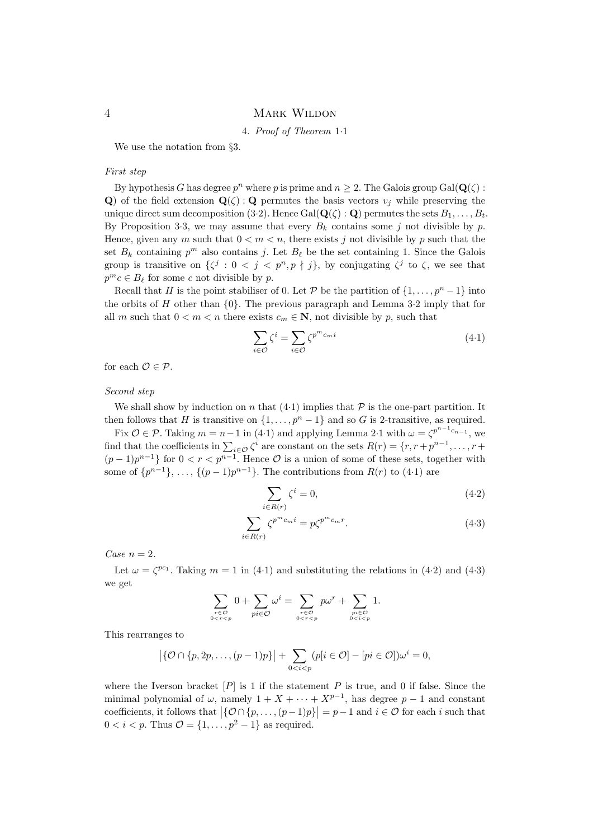### 4. Proof of Theorem 1·1

We use the notation from §3.

## First step

By hypothesis G has degree  $p^n$  where p is prime and  $n \geq 2$ . The Galois group Gal( $\mathbf{Q}(\zeta)$ : Q) of the field extension  $\mathbf{Q}(\zeta)$ : Q permutes the basis vectors  $v_j$  while preserving the unique direct sum decomposition (3.2). Hence Gal( $\mathbf{Q}(\zeta) : \mathbf{Q}$ ) permutes the sets  $B_1, \ldots, B_t$ . By Proposition 3.3, we may assume that every  $B_k$  contains some j not divisible by p. Hence, given any m such that  $0 < m < n$ , there exists j not divisible by p such that the set  $B_k$  containing  $p^m$  also contains j. Let  $B_\ell$  be the set containing 1. Since the Galois group is transitive on  $\{\zeta^j : 0 < j < p^n, p \nmid j\}$ , by conjugating  $\zeta^j$  to  $\zeta$ , we see that  $p^m c \in B_\ell$  for some c not divisible by p.

Recall that H is the point stabiliser of 0. Let P be the partition of  $\{1, \ldots, p^{n}-1\}$  into the orbits of H other than  $\{0\}$ . The previous paragraph and Lemma 3.2 imply that for all m such that  $0 < m < n$  there exists  $c_m \in \mathbb{N}$ , not divisible by p, such that

$$
\sum_{i \in \mathcal{O}} \zeta^i = \sum_{i \in \mathcal{O}} \zeta^{p^m c_m i} \tag{4-1}
$$

for each  $\mathcal{O} \in \mathcal{P}$ .

### Second step

We shall show by induction on n that  $(4-1)$  implies that  $P$  is the one-part partition. It then follows that H is transitive on  $\{1, \ldots, p^{n} - 1\}$  and so G is 2-transitive, as required.

Fix  $\mathcal{O} \in \mathcal{P}$ . Taking  $m = n - 1$  in (4.1) and applying Lemma 2.1 with  $\omega = \zeta^{p^{n-1}c_{n-1}}$ , we find that the coefficients in  $\sum_{i \in \mathcal{O}} \zeta^i$  are constant on the sets  $R(r) = \{r, r + p^{n-1}, \dots, r + p^{n-1}\}$  $(p-1)p^{n-1}$ } for  $0 < r < p^{n-1}$ . Hence  $\mathcal O$  is a union of some of these sets, together with some of  $\{p^{n-1}\}, \ldots, \{(p-1)p^{n-1}\}.$  The contributions from  $R(r)$  to  $(4\cdot 1)$  are

$$
\sum_{i \in R(r)} \zeta^i = 0,\tag{4.2}
$$

$$
\sum_{i \in R(r)} \zeta^{p^m c_m i} = p \zeta^{p^m c_m r}.
$$
\n(4.3)

Case  $n = 2$ .

Let  $\omega = \zeta^{pc_1}$ . Taking  $m = 1$  in (4.1) and substituting the relations in (4.2) and (4.3) we get

$$
\sum_{\substack{r \in \mathcal{O} \\ 0 < r < p}} 0 + \sum_{pi \in \mathcal{O}} \omega^i = \sum_{\substack{r \in \mathcal{O} \\ 0 < r < p}} p\omega^r + \sum_{\substack{pi \in \mathcal{O} \\ 0 < i < p}} 1.
$$

This rearranges to

$$
\left| \{ \mathcal{O} \cap \{p, 2p, \dots, (p-1)p\} \right| + \sum_{0 < i < p} (p[i \in \mathcal{O}] - [pi \in \mathcal{O}]) \omega^i = 0,
$$

where the Iverson bracket  $[P]$  is 1 if the statement P is true, and 0 if false. Since the minimal polynomial of  $\omega$ , namely  $1 + X + \cdots + X^{p-1}$ , has degree  $p-1$  and constant coefficients, it follows that  $\left|\{\mathcal{O} \cap \{p, \ldots, (p-1)p\}\right| = p-1$  and  $i \in \mathcal{O}$  for each i such that  $0 < i < p$ . Thus  $\mathcal{O} = \{1, \ldots, p^2 - 1\}$  as required.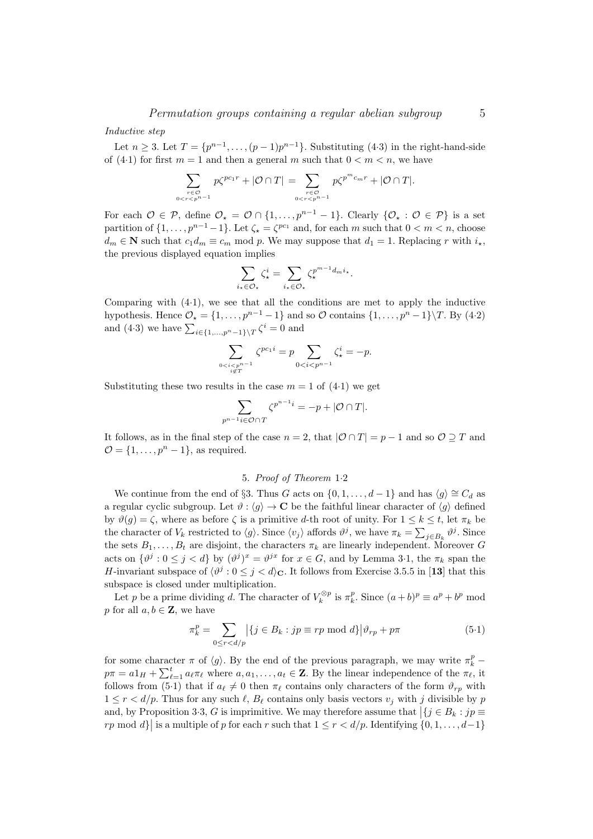### Inductive step

Let  $n \geq 3$ . Let  $T = \{p^{n-1}, \ldots, (p-1)p^{n-1}\}$ . Substituting (4.3) in the right-hand-side of (4.1) for first  $m = 1$  and then a general m such that  $0 \le m \le n$ , we have

$$
\sum_{\substack{r \in \mathcal{O} \\ 0 \le r < p^{n-1}}} p\zeta^{pc_1r} + |\mathcal{O} \cap T| = \sum_{\substack{r \in \mathcal{O} \\ 0 \le r < p^{n-1}}} p\zeta^{p^m c_m r} + |\mathcal{O} \cap T|.
$$

For each  $\mathcal{O} \in \mathcal{P}$ , define  $\mathcal{O}_* = \mathcal{O} \cap \{1, \ldots, p^{n-1} - 1\}$ . Clearly  $\{\mathcal{O}_* : \mathcal{O} \in \mathcal{P}\}$  is a set partition of  $\{1, \ldots, p^{n-1}-1\}$ . Let  $\zeta_{\star} = \zeta^{pc_1}$  and, for each m such that  $0 < m < n$ , choose  $d_m \in \mathbb{N}$  such that  $c_1 d_m \equiv c_m \mod p$ . We may suppose that  $d_1 = 1$ . Replacing r with  $i_{\star}$ , the previous displayed equation implies

$$
\sum_{i_{\star} \in \mathcal{O}_{\star}} \zeta_{\star}^{i} = \sum_{i_{\star} \in \mathcal{O}_{\star}} \zeta_{\star}^{p^{m-1} d_{m} i_{\star}}.
$$

Comparing with (4·1), we see that all the conditions are met to apply the inductive hypothesis. Hence  $\mathcal{O}_\star = \{1, \ldots, p^{n-1} - 1\}$  and so  $\mathcal O$  contains  $\{1, \ldots, p^n - 1\} \backslash T$ . By (4·2) and (4.3) we have  $\sum_{i \in \{1, ..., p^n-1\} \setminus T} \zeta^i = 0$  and

$$
\sum_{0
$$

Substituting these two results in the case  $m = 1$  of  $(4.1)$  we get

$$
\sum_{p^{n-1}i\in\mathcal{O}\cap T}\zeta^{p^{n-1}i}=-p+|\mathcal{O}\cap T|.
$$

It follows, as in the final step of the case  $n = 2$ , that  $|O \cap T| = p - 1$  and so  $O \supset T$  and  $\mathcal{O} = \{1, \ldots, p^n - 1\}$ , as required.

## 5. Proof of Theorem 1·2

We continue from the end of §3. Thus G acts on  $\{0, 1, \ldots, d-1\}$  and has  $\langle g \rangle \cong C_d$  as a regular cyclic subgroup. Let  $\vartheta : \langle g \rangle \to \mathbf{C}$  be the faithful linear character of  $\langle g \rangle$  defined by  $\vartheta(g) = \zeta$ , where as before  $\zeta$  is a primitive d-th root of unity. For  $1 \leq k \leq t$ , let  $\pi_k$  be the character of  $V_k$  restricted to  $\langle g \rangle$ . Since  $\langle v_j \rangle$  affords  $\vartheta^j$ , we have  $\pi_k = \sum_{j \in B_k} \vartheta^j$ . Since the sets  $B_1, \ldots, B_t$  are disjoint, the characters  $\pi_k$  are linearly independent. Moreover G acts on  $\{\vartheta^j : 0 \le j < d\}$  by  $(\vartheta^j)^x = \vartheta^{jx}$  for  $x \in G$ , and by Lemma 3.1, the  $\pi_k$  span the H-invariant subspace of  $\langle \vartheta^j : 0 \le j < d \rangle_{\mathbf{C}}$ . It follows from Exercise 3.5.5 in [13] that this subspace is closed under multiplication.

Let p be a prime dividing d. The character of  $V_k^{\otimes p}$  is  $\pi_k^p$ . Since  $(a+b)^p \equiv a^p + b^p \mod{p}$ p for all  $a, b \in \mathbb{Z}$ , we have

$$
\pi_k^p = \sum_{0 \le r < d/p} \left| \{ j \in B_k : j p \equiv r p \bmod d \} \right| \vartheta_{rp} + p \pi \tag{5.1}
$$

for some character  $\pi$  of  $\langle g \rangle$ . By the end of the previous paragraph, we may write  $\pi_k^p$  –  $p\pi = a\mathbb{1}_H + \sum_{\ell=1}^t a_\ell \pi_\ell$  where  $a, a_1, \ldots, a_t \in \mathbb{Z}$ . By the linear independence of the  $\pi_\ell$ , it follows from (5·1) that if  $a_\ell \neq 0$  then  $\pi_\ell$  contains only characters of the form  $\vartheta_{rp}$  with  $1 \leq r < d/p$ . Thus for any such  $\ell$ ,  $B_{\ell}$  contains only basis vectors  $v_j$  with j divisible by p and, by Proposition 3.3, G is imprimitive. We may therefore assume that  $\left|\{j \in B_k : j p \equiv 1\} \right|$ rp mod  $d$ } is a multiple of p for each r such that  $1 \le r < d/p$ . Identifying  $\{0, 1, \ldots, d-1\}$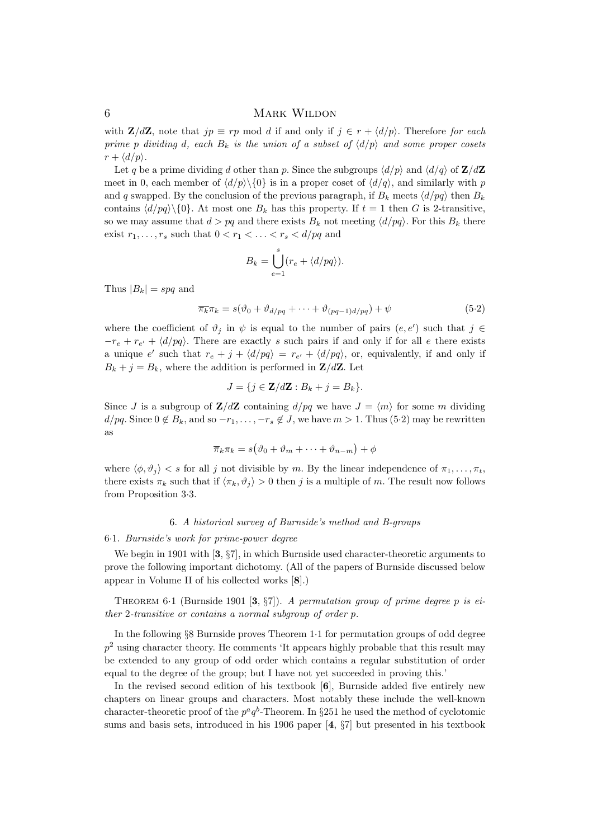with  $\mathbf{Z}/d\mathbf{Z}$ , note that  $jp \equiv rp \mod d$  if and only if  $j \in r + \langle d/p \rangle$ . Therefore for each prime p dividing d, each  $B_k$  is the union of a subset of  $\langle d/p \rangle$  and some proper cosets  $r + \langle d/p \rangle$ .

Let q be a prime dividing d other than p. Since the subgroups  $\langle d/p \rangle$  and  $\langle d/q \rangle$  of  $\mathbf{Z}/d\mathbf{Z}$ meet in 0, each member of  $\langle d/p \rangle \langle 0 \rangle$  is in a proper coset of  $\langle d/q \rangle$ , and similarly with p and q swapped. By the conclusion of the previous paragraph, if  $B_k$  meets  $\langle d/pq \rangle$  then  $B_k$ contains  $\langle d/pq\rangle$  {0}. At most one  $B_k$  has this property. If  $t = 1$  then G is 2-transitive, so we may assume that  $d > pq$  and there exists  $B_k$  not meeting  $\langle d/pq \rangle$ . For this  $B_k$  there exist  $r_1, \ldots, r_s$  such that  $0 < r_1 < \ldots < r_s < d/pq$  and

$$
B_k = \bigcup_{e=1}^s (r_e + \langle d/pq \rangle).
$$

Thus  $|B_k|$  = spq and

$$
\overline{\pi_k}\pi_k = s(\vartheta_0 + \vartheta_{d/pq} + \dots + \vartheta_{(pq-1)d/pq}) + \psi
$$
\n(5.2)

where the coefficient of  $\vartheta_j$  in  $\psi$  is equal to the number of pairs  $(e, e')$  such that  $j \in$  $-r_e + r_{e'} + \langle d/pq \rangle$ . There are exactly s such pairs if and only if for all e there exists a unique e' such that  $r_e + j + \langle d/pq \rangle = r_{e'} + \langle d/pq \rangle$ , or, equivalently, if and only if  $B_k + j = B_k$ , where the addition is performed in  $\mathbf{Z}/d\mathbf{Z}$ . Let

$$
J = \{ j \in \mathbf{Z}/d\mathbf{Z} : B_k + j = B_k \}.
$$

Since J is a subgroup of  $\mathbb{Z}/d\mathbb{Z}$  containing  $d/pq$  we have  $J = \langle m \rangle$  for some m dividing  $d/pq$ . Since  $0 \notin B_k$ , and so  $-r_1, \ldots, -r_s \notin J$ , we have  $m > 1$ . Thus (5·2) may be rewritten as

$$
\overline{\pi}_k \pi_k = s(\vartheta_0 + \vartheta_m + \dots + \vartheta_{n-m}) + \phi
$$

where  $\langle \phi, \vartheta_i \rangle < s$  for all j not divisible by m. By the linear independence of  $\pi_1, \ldots, \pi_t$ , there exists  $\pi_k$  such that if  $\langle \pi_k, \vartheta_j \rangle > 0$  then j is a multiple of m. The result now follows from Proposition 3·3.

#### 6. A historical survey of Burnside's method and B-groups

#### 6·1. Burnside's work for prime-power degree

We begin in 1901 with [3,  $\S7$ ], in which Burnside used character-theoretic arguments to prove the following important dichotomy. (All of the papers of Burnside discussed below appear in Volume II of his collected works [8].)

THEOREM 6.1 (Burnside 1901 [3,  $\S7$ ]). A permutation group of prime degree p is either 2-transitive or contains a normal subgroup of order p.

In the following §8 Burnside proves Theorem 1·1 for permutation groups of odd degree  $p<sup>2</sup>$  using character theory. He comments 'It appears highly probable that this result may be extended to any group of odd order which contains a regular substitution of order equal to the degree of the group; but I have not yet succeeded in proving this.'

In the revised second edition of his textbook [6], Burnside added five entirely new chapters on linear groups and characters. Most notably these include the well-known character-theoretic proof of the  $p^a q^b$ -Theorem. In §251 he used the method of cyclotomic sums and basis sets, introduced in his 1906 paper [4, §7] but presented in his textbook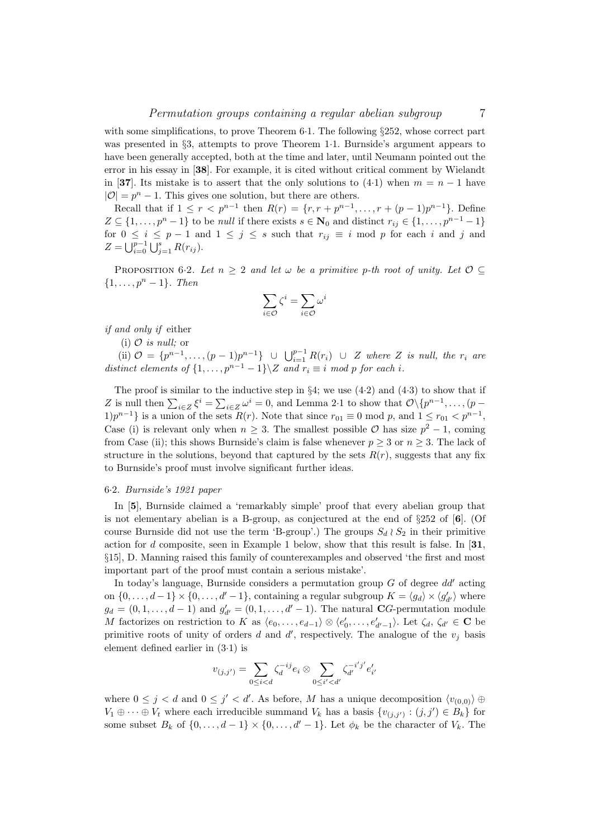with some simplifications, to prove Theorem  $6·1$ . The following §252, whose correct part was presented in §3, attempts to prove Theorem 1·1. Burnside's argument appears to have been generally accepted, both at the time and later, until Neumann pointed out the error in his essay in [38]. For example, it is cited without critical comment by Wielandt in [37]. Its mistake is to assert that the only solutions to (4.1) when  $m = n - 1$  have  $|\mathcal{O}| = p^n - 1$ . This gives one solution, but there are others.

Recall that if  $1 \leq r < p^{n-1}$  then  $R(r) = \{r, r + p^{n-1}, \ldots, r + (p-1)p^{n-1}\}.$  Define  $Z \subseteq \{1, \ldots, p^{n}-1\}$  to be *null* if there exists  $s \in \mathbb{N}_0$  and distinct  $r_{ij} \in \{1, \ldots, p^{n-1}-1\}$ for  $0 \le i \le p-1$  and  $1 \le j \le s$  such that  $r_{ij} \equiv i \mod p$  for each i and j and  $Z = \bigcup_{i=0}^{p-1} \bigcup_{j=1}^{s} R(r_{ij}).$ 

PROPOSITION 6.2. Let  $n \geq 2$  and let  $\omega$  be a primitive p-th root of unity. Let  $\mathcal{O} \subseteq$  $\{1, \ldots, p^n-1\}$ . Then

$$
\sum_{i\in\mathcal{O}}\zeta^i=\sum_{i\in\mathcal{O}}\omega^i
$$

if and only if either

(i)  $\mathcal{O}$  is null; or

(ii)  $\mathcal{O} = \{p^{n-1}, \ldots, (p-1)p^{n-1}\}$   $\cup \bigcup_{i=1}^{p-1} R(r_i)$   $\cup$  Z where Z is null, the  $r_i$  are distinct elements of  $\{1,\ldots,p^{n-1}-1\}\$  and  $r_i \equiv i \mod p$  for each i.

The proof is similar to the inductive step in  $\S4$ ; we use  $(4.2)$  and  $(4.3)$  to show that if Z is null then  $\sum_{i\in\mathbb{Z}}\xi^i=\sum_{i\in\mathbb{Z}}\omega^i=0$ , and Lemma 2·1 to show that  $\mathcal{O}\backslash\{p^{n-1},\ldots,(p-1)\}$ 1) $p^{n-1}$  is a union of the sets  $R(r)$ . Note that since  $r_{01} \equiv 0 \mod p$ , and  $1 \le r_{01} < p^{n-1}$ , Case (i) is relevant only when  $n \geq 3$ . The smallest possible  $\mathcal O$  has size  $p^2 - 1$ , coming from Case (ii); this shows Burnside's claim is false whenever  $p > 3$  or  $n > 3$ . The lack of structure in the solutions, beyond that captured by the sets  $R(r)$ , suggests that any fix to Burnside's proof must involve significant further ideas.

## 6·2. Burnside's 1921 paper

In [5], Burnside claimed a 'remarkably simple' proof that every abelian group that is not elementary abelian is a B-group, as conjectured at the end of  $\S 252$  of  $[6]$ . (Of course Burnside did not use the term 'B-group'.) The groups  $S_d \wr S_2$  in their primitive action for d composite, seen in Example 1 below, show that this result is false. In  $[31]$ , §15], D. Manning raised this family of counterexamples and observed 'the first and most important part of the proof must contain a serious mistake'.

In today's language, Burnside considers a permutation group  $G$  of degree  $dd'$  acting on  $\{0, \ldots, d-1\} \times \{0, \ldots, d'-1\}$ , containing a regular subgroup  $K = \langle g_d \rangle \times \langle g'_{d'} \rangle$  where  $g_d = (0, 1, \ldots, d-1)$  and  $g'_{d'} = (0, 1, \ldots, d'-1)$ . The natural CG-permutation module M factorizes on restriction to K as  $\langle e_0, \ldots, e_{d-1} \rangle \otimes \langle e'_0, \ldots, e'_{d'-1} \rangle$ . Let  $\zeta_d$ ,  $\zeta_{d'} \in \mathbf{C}$  be primitive roots of unity of orders  $d$  and  $d'$ , respectively. The analogue of the  $v_j$  basis element defined earlier in (3·1) is

$$
v_{(j,j')} = \sum_{0 \leq i < d} \zeta_d^{-ij} e_i \otimes \sum_{0 \leq i' < d'} \zeta_{d'}^{-i'j'} e'_{i'}
$$

where  $0 \leq j < d$  and  $0 \leq j' < d'$ . As before, M has a unique decomposition  $\langle v_{(0,0)} \rangle \oplus$  $V_1 \oplus \cdots \oplus V_t$  where each irreducible summand  $V_k$  has a basis  $\{v_{(j,j')} : (j,j') \in B_k\}$  for some subset  $B_k$  of  $\{0, \ldots, d-1\} \times \{0, \ldots, d'-1\}$ . Let  $\phi_k$  be the character of  $V_k$ . The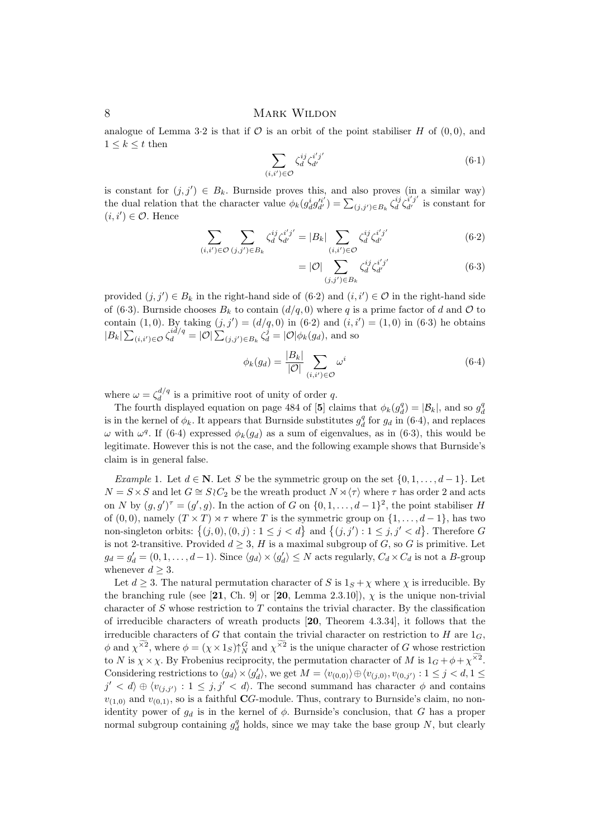analogue of Lemma 3.2 is that if  $\mathcal O$  is an orbit of the point stabiliser H of  $(0,0)$ , and  $1 \leq k \leq t$  then

$$
\sum_{(i,i')\in\mathcal{O}} \zeta_d^{ij} \zeta_{d'}^{i'j'} \tag{6.1}
$$

is constant for  $(j, j') \in B_k$ . Burnside proves this, and also proves (in a similar way) the dual relation that the character value  $\phi_k(g_d^ig_{d'}^{i'j}) = \sum_{(j,j') \in B_k} \zeta_d^{ij} \zeta_{d'}^{i'j'}$  is constant for  $(i, i') \in \mathcal{O}$ . Hence

$$
\sum_{(i,i')\in\mathcal{O}}\sum_{(j,j')\in B_k}\zeta_d^{ij}\zeta_{d'}^{i'j'} = |B_k|\sum_{(i,i')\in\mathcal{O}}\zeta_d^{ij}\zeta_{d'}^{i'j'}
$$
(6.2)

$$
= |\mathcal{O}| \sum_{(j,j') \in B_k} \zeta_d^{ij} \zeta_{d'}^{i'j'} \tag{6.3}
$$

provided  $(j, j') \in B_k$  in the right-hand side of  $(6.2)$  and  $(i, i') \in \mathcal{O}$  in the right-hand side of (6.3). Burnside chooses  $B_k$  to contain  $(d/q, 0)$  where q is a prime factor of d and  $\mathcal O$  to contain (1,0). By taking  $(j, j') = (d/q, 0)$  in (6.2) and  $(i, i') = (1, 0)$  in (6.3) he obtains  $|B_k|\sum_{(i,i')\in\mathcal{O}}\zeta_d^{id/q}=|\mathcal{O}|\sum_{(j,j')\in B_k}\zeta_d^j=|\mathcal{O}|\phi_k(g_d),$  and so

$$
\phi_k(g_d) = \frac{|B_k|}{|\mathcal{O}|} \sum_{(i,i') \in \mathcal{O}} \omega^i \tag{6.4}
$$

where  $\omega = \zeta_d^{d/q}$  $\frac{d}{d}$  is a primitive root of unity of order q.

The fourth displayed equation on page 484 of [5] claims that  $\phi_k(g_d^q) = |\mathcal{B}_k|$ , and so  $g_d^q$ is in the kernel of  $\phi_k$ . It appears that Burnside substitutes  $g_d^q$  for  $g_d$  in (6.4), and replaces  $ω$  with  $ω<sup>q</sup>$ . If (6.4) expressed  $φ<sub>k</sub>(g<sub>d</sub>)$  as a sum of eigenvalues, as in (6.3), this would be legitimate. However this is not the case, and the following example shows that Burnside's claim is in general false.

Example 1. Let  $d \in \mathbb{N}$ . Let S be the symmetric group on the set  $\{0, 1, \ldots, d-1\}$ . Let  $N = S \times S$  and let  $G \cong S \wr C_2$  be the wreath product  $N \rtimes \langle \tau \rangle$  where  $\tau$  has order 2 and acts on N by  $(g, g')^{\tau} = (g', g)$ . In the action of G on  $\{0, 1, \ldots, d-1\}^2$ , the point stabiliser H of (0,0), namely  $(T \times T) \rtimes \tau$  where T is the symmetric group on  $\{1, \ldots, d-1\}$ , has two non-singleton orbits:  $\{(j, 0), (0, j) : 1 \le j < d\}$  and  $\{(j, j') : 1 \le j, j' < d\}$ . Therefore G is not 2-transitive. Provided  $d \geq 3$ , H is a maximal subgroup of G, so G is primitive. Let  $g_d = g'_d = (0, 1, \ldots, d-1)$ . Since  $\langle g_d \rangle \times \langle g'_d \rangle \leq N$  acts regularly,  $C_d \times C_d$  is not a B-group whenever  $d \geq 3$ .

Let  $d \geq 3$ . The natural permutation character of S is  $1_S + \chi$  where  $\chi$  is irreducible. By the branching rule (see [21, Ch. 9] or [20, Lemma 2.3.10]),  $\chi$  is the unique non-trivial character of  $S$  whose restriction to  $T$  contains the trivial character. By the classification of irreducible characters of wreath products [20, Theorem 4.3.34], it follows that the irreducible characters of G that contain the trivial character on restriction to H are  $1_G$ ,  $\phi$  and  $\chi^{\times 2}$ , where  $\phi = (\chi \times 1_S)\uparrow_N^G$  and  $\chi^{\times 2}$  is the unique character of G whose restriction to N is  $\chi \times \chi$ . By Frobenius reciprocity, the permutation character of M is  $1_G + \phi + \chi^{\times 2}$ . Considering restrictions to  $\langle g_d \rangle \times \langle g'_d \rangle$ , we get  $M = \langle v_{(0,0)} \rangle \oplus \langle v_{(j,0)}, v_{(0,j')} : 1 \le j < d, 1 \le j$  $j' < d$   $\oplus \langle v_{(j,j')} : 1 \leq j, j' < d \rangle$ . The second summand has character  $\phi$  and contains  $v_{(1,0)}$  and  $v_{(0,1)}$ , so is a faithful CG-module. Thus, contrary to Burnside's claim, no nonidentity power of  $g_d$  is in the kernel of  $\phi$ . Burnside's conclusion, that G has a proper normal subgroup containing  $g_d^q$  holds, since we may take the base group N, but clearly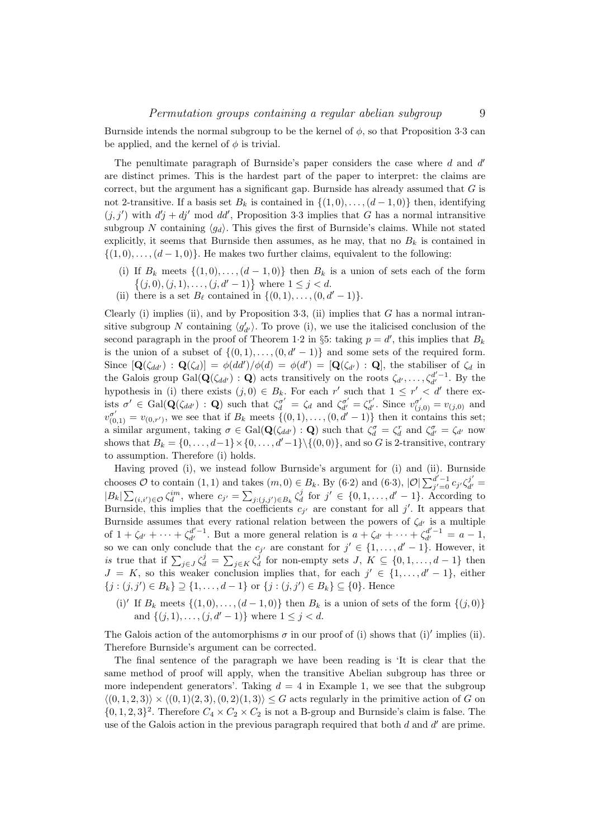Burnside intends the normal subgroup to be the kernel of  $\phi$ , so that Proposition 3.3 can be applied, and the kernel of  $\phi$  is trivial.

The penultimate paragraph of Burnside's paper considers the case where  $d$  and  $d'$ are distinct primes. This is the hardest part of the paper to interpret: the claims are correct, but the argument has a significant gap. Burnside has already assumed that  $G$  is not 2-transitive. If a basis set  $B_k$  is contained in  $\{(1,0), \ldots, (d-1,0)\}\)$  then, identifying  $(j, j')$  with  $d'j + dj'$  mod dd', Proposition 3.3 implies that G has a normal intransitive subgroup N containing  $\langle q_d \rangle$ . This gives the first of Burnside's claims. While not stated explicitly, it seems that Burnside then assumes, as he may, that no  $B_k$  is contained in  $\{(1,0),\ldots,(d-1,0)\}.$  He makes two further claims, equivalent to the following:

- (i) If  $B_k$  meets  $\{(1,0), \ldots, (d-1,0)\}$  then  $B_k$  is a union of sets each of the form  $\{(j, 0), (j, 1), \ldots, (j, d' - 1)\}\$  where  $1 \leq j < d$ .
- (ii) there is a set  $B_\ell$  contained in  $\{(0, 1), \ldots, (0, d' 1)\}.$

Clearly (i) implies (ii), and by Proposition  $3.3$ , (ii) implies that G has a normal intransitive subgroup N containing  $\langle g'_{d'} \rangle$ . To prove (i), we use the italicised conclusion of the second paragraph in the proof of Theorem 1.2 in §5: taking  $p = d'$ , this implies that  $B_k$ is the union of a subset of  $\{(0, 1), \ldots, (0, d' - 1)\}\$  and some sets of the required form. Since  $[\mathbf{Q}(\zeta_{dd'}) : \mathbf{Q}(\zeta_d)] = \phi(dd')/\phi(d) = \phi(d') = [\mathbf{Q}(\zeta_{d'}) : \mathbf{Q}]$ , the stabiliser of  $\zeta_d$  in the Galois group  $Gal(\mathbf{Q}(\zeta_{dd'}) : \mathbf{Q})$  acts transitively on the roots  $\zeta_{d'}, \ldots, \zeta_{d'}^{d'-1}$ . By the hypothesis in (i) there exists  $(j, 0) \in B_k$ . For each r' such that  $1 \leq r' < d'$  there exists  $\sigma' \in \text{Gal}(\mathbf{Q}(\zeta_{dd'}) : \mathbf{Q})$  such that  $\zeta_{d}^{\sigma'} = \zeta_{d}$  and  $\zeta_{d'}^{\sigma'} = \zeta_{d'}^{\sigma'}$ . Since  $v_{(j,0)}^{\sigma'} = v_{(j,0)}$  and  $v_{(0,1)}^{\sigma'} = v_{(0,r')}$ , we see that if  $B_k$  meets  $\{(0,1), \ldots, (0, d'-1)\}\)$  then it contains this set; a similar argument, taking  $\sigma \in \text{Gal}(\mathbf{Q}(\zeta_{dd'}) : \mathbf{Q})$  such that  $\zeta_d^{\sigma} = \zeta_d^r$  and  $\zeta_{d'}^{\sigma} = \zeta_{d'}$  now shows that  $B_k = \{0, \ldots, d-1\} \times \{0, \ldots, d'-1\} \setminus \{(0, 0)\}\)$ , and so G is 2-transitive, contrary to assumption. Therefore (i) holds.

Having proved (i), we instead follow Burnside's argument for (i) and (ii). Burnside chooses  $\mathcal O$  to contain  $(1,1)$  and takes  $(m,0) \in B_k$ . By  $(6·2)$  and  $(6·3)$ ,  $|\mathcal O| \sum_{j'=0}^{d'-1} c_{j'} \zeta_{d'}^{j'} =$  $|B_k| \sum_{(i,i') \in \mathcal{O}} \zeta_d^{im}$ , where  $c_{j'} = \sum_{j:(j,j') \in B_k} \zeta_d^j$  for  $j' \in \{0,1,\ldots,d'-1\}$ . According to Burnside, this implies that the coefficients  $c_{j'}$  are constant for all j'. It appears that Burnside assumes that every rational relation between the powers of  $\zeta_{d'}$  is a multiple of  $1 + \zeta_{d'} + \cdots + \zeta_{d'}^{d'-1}$ . But a more general relation is  $a + \zeta_{d'} + \cdots + \zeta_{d'}^{d'-1} = a - 1$ , so we can only conclude that the  $c_{j'}$  are constant for  $j' \in \{1, ..., d' - 1\}$ . However, it is true that if  $\sum_{j\in J}\zeta_d^j = \sum_{j\in K}\zeta_d^j$  for non-empty sets  $J, K \subseteq \{0,1,\ldots,d-1\}$  then  $J = K$ , so this weaker conclusion implies that, for each  $j' \in \{1, \ldots, d'-1\}$ , either  $\{j : (j, j') \in B_k\} \supseteq \{1, \ldots, d-1\}$  or  $\{j : (j, j') \in B_k\} \subseteq \{0\}$ . Hence

(i)' If  $B_k$  meets  $\{(1,0), \ldots, (d-1,0)\}$  then  $B_k$  is a union of sets of the form  $\{(j,0)\}$ and  $\{(j, 1), \ldots, (j, d' - 1)\}\$  where  $1 \leq j < d$ .

The Galois action of the automorphisms  $\sigma$  in our proof of (i) shows that (i)' implies (ii). Therefore Burnside's argument can be corrected.

The final sentence of the paragraph we have been reading is 'It is clear that the same method of proof will apply, when the transitive Abelian subgroup has three or more independent generators'. Taking  $d = 4$  in Example 1, we see that the subgroup  $\langle (0, 1, 2, 3) \rangle \times \langle (0, 1)(2, 3), (0, 2)(1, 3) \rangle \leq G$  acts regularly in the primitive action of G on  $\{0, 1, 2, 3\}^2$ . Therefore  $C_4 \times C_2 \times C_2$  is not a B-group and Burnside's claim is false. The use of the Galois action in the previous paragraph required that both  $d$  and  $d'$  are prime.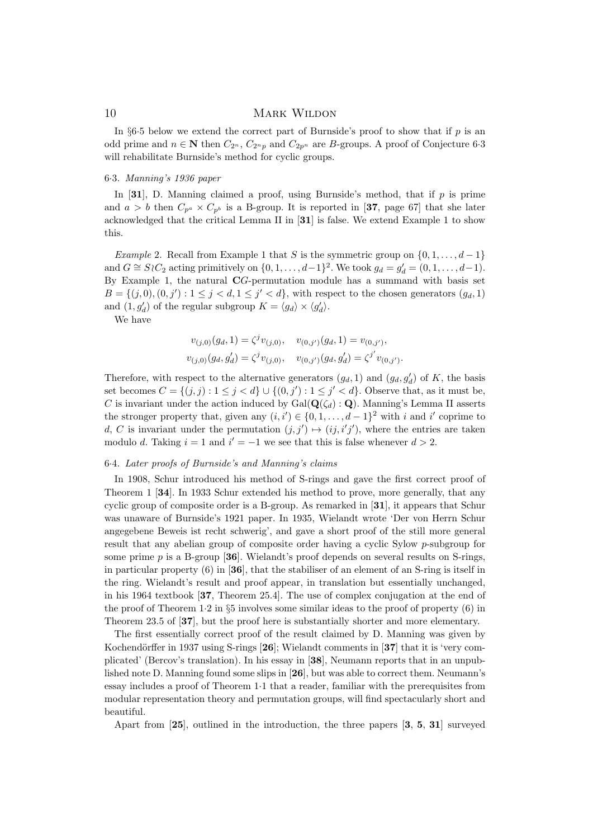In §6.5 below we extend the correct part of Burnside's proof to show that if  $p$  is an odd prime and  $n \in \mathbb{N}$  then  $C_{2^n}$ ,  $C_{2^n p}$  and  $C_{2p^n}$  are B-groups. A proof of Conjecture 6.3 will rehabilitate Burnside's method for cyclic groups.

### 6·3. Manning's 1936 paper

In [31], D. Manning claimed a proof, using Burnside's method, that if  $p$  is prime and  $a > b$  then  $C_{p^a} \times C_{p^b}$  is a B-group. It is reported in [37, page 67] that she later acknowledged that the critical Lemma II in [31] is false. We extend Example 1 to show this.

Example 2. Recall from Example 1 that S is the symmetric group on  $\{0, 1, \ldots, d-1\}$ and  $G \cong S \setminus C_2$  acting primitively on  $\{0, 1, \ldots, d-1\}^2$ . We took  $g_d = g'_d = (0, 1, \ldots, d-1)$ . By Example 1, the natural CG-permutation module has a summand with basis set  $B = \{(j, 0), (0, j'): 1 \leq j < d, 1 \leq j' < d\}$ , with respect to the chosen generators  $(g_d, 1)$ and  $(1, g'_d)$  of the regular subgroup  $K = \langle g_d \rangle \times \langle g'_d \rangle$ .

We have

$$
v_{(j,0)}(g_d, 1) = \zeta^j v_{(j,0)}, \quad v_{(0,j')}(g_d, 1) = v_{(0,j')},
$$
  

$$
v_{(j,0)}(g_d, g'_d) = \zeta^j v_{(j,0)}, \quad v_{(0,j')}(g_d, g'_d) = \zeta^{j'} v_{(0,j')}.
$$

Therefore, with respect to the alternative generators  $(g_d, 1)$  and  $(g_d, g'_d)$  of K, the basis set becomes  $C = \{(j, j) : 1 \leq j < d\} \cup \{(0, j') : 1 \leq j' < d\}$ . Observe that, as it must be, C is invariant under the action induced by  $Gal(\mathbf{Q}(\zeta_d): \mathbf{Q})$ . Manning's Lemma II asserts the stronger property that, given any  $(i, i') \in \{0, 1, ..., d-1\}^2$  with i and i' coprime to d, C is invariant under the permutation  $(j, j') \mapsto (ij, i'j')$ , where the entries are taken modulo d. Taking  $i = 1$  and  $i' = -1$  we see that this is false whenever  $d > 2$ .

#### 6·4. Later proofs of Burnside's and Manning's claims

In 1908, Schur introduced his method of S-rings and gave the first correct proof of Theorem 1 [34]. In 1933 Schur extended his method to prove, more generally, that any cyclic group of composite order is a B-group. As remarked in [31], it appears that Schur was unaware of Burnside's 1921 paper. In 1935, Wielandt wrote 'Der von Herrn Schur angegebene Beweis ist recht schwerig', and gave a short proof of the still more general result that any abelian group of composite order having a cyclic Sylow p-subgroup for some prime  $p$  is a B-group [36]. Wielandt's proof depends on several results on S-rings, in particular property  $(6)$  in  $[36]$ , that the stabiliser of an element of an S-ring is itself in the ring. Wielandt's result and proof appear, in translation but essentially unchanged, in his 1964 textbook [37, Theorem 25.4]. The use of complex conjugation at the end of the proof of Theorem  $1.2$  in  $\S5$  involves some similar ideas to the proof of property  $(6)$  in Theorem 23.5 of [37], but the proof here is substantially shorter and more elementary.

The first essentially correct proof of the result claimed by D. Manning was given by Kochendörffer in 1937 using S-rings  $[26]$ ; Wielandt comments in  $[37]$  that it is 'very complicated' (Bercov's translation). In his essay in [38], Neumann reports that in an unpublished note D. Manning found some slips in [26], but was able to correct them. Neumann's essay includes a proof of Theorem 1·1 that a reader, familiar with the prerequisites from modular representation theory and permutation groups, will find spectacularly short and beautiful.

Apart from [25], outlined in the introduction, the three papers [3, 5, 31] surveyed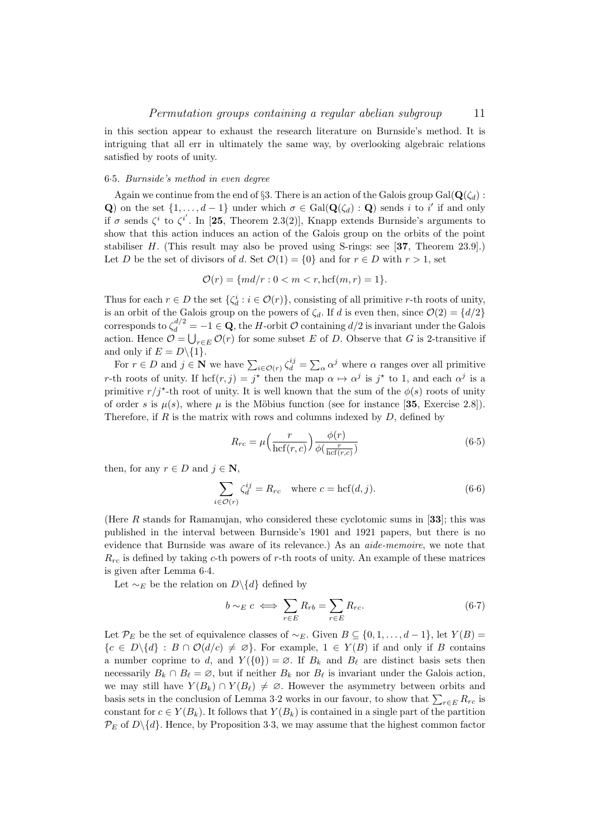in this section appear to exhaust the research literature on Burnside's method. It is intriguing that all err in ultimately the same way, by overlooking algebraic relations satisfied by roots of unity.

### 6·5. Burnside's method in even degree

Again we continue from the end of §3. There is an action of the Galois group Gal( $\mathbf{Q}(\zeta_d)$ : Q) on the set  $\{1,\ldots,d-1\}$  under which  $\sigma \in \text{Gal}(\mathbf{Q}(\zeta_d) : \mathbf{Q})$  sends i to i' if and only if  $\sigma$  sends  $\zeta^i$  to  $\zeta^{i'}$ . In [25, Theorem 2.3(2)], Knapp extends Burnside's arguments to show that this action induces an action of the Galois group on the orbits of the point stabiliser H. (This result may also be proved using S-rings: see [37, Theorem 23.9].) Let D be the set of divisors of d. Set  $\mathcal{O}(1) = \{0\}$  and for  $r \in D$  with  $r > 1$ , set

$$
\mathcal{O}(r) = \{ md/r : 0 < m < r, \text{hcf}(m, r) = 1 \}.
$$

Thus for each  $r \in D$  the set  $\{\zeta_d^i : i \in \mathcal{O}(r)\}\)$ , consisting of all primitive r-th roots of unity, is an orbit of the Galois group on the powers of  $\zeta_d$ . If d is even then, since  $\mathcal{O}(2) = \{d/2\}$ corresponds to  $\zeta_d^{d/2} = -1 \in \mathbf{Q}$ , the H-orbit  $\mathcal O$  containing  $d/2$  is invariant under the Galois action. Hence  $\mathcal{O} = \bigcup_{r \in E} \mathcal{O}(r)$  for some subset E of D. Observe that G is 2-transitive if and only if  $E = D \setminus \{1\}.$ 

For  $r \in D$  and  $j \in \mathbb{N}$  we have  $\sum_{i \in \mathcal{O}(r)} \zeta_d^{ij} = \sum_{\alpha} \alpha^j$  where  $\alpha$  ranges over all primitive r-th roots of unity. If  $\text{hcf}(r, j) = j^*$  then the map  $\alpha \mapsto \alpha^j$  is  $j^*$  to 1, and each  $\alpha^j$  is a primitive  $r/j^*$ -th root of unity. It is well known that the sum of the  $\phi(s)$  roots of unity of order s is  $\mu(s)$ , where  $\mu$  is the Möbius function (see for instance [35, Exercise 2.8]). Therefore, if  $R$  is the matrix with rows and columns indexed by  $D$ , defined by

$$
R_{rc} = \mu \left(\frac{r}{\text{hcf}(r,c)}\right) \frac{\phi(r)}{\phi(\frac{r}{\text{hcf}(r,c)})}
$$
(6.5)

then, for any  $r \in D$  and  $j \in \mathbb{N}$ ,

$$
\sum_{i \in \mathcal{O}(r)} \zeta_d^{ij} = R_{rc} \quad \text{where } c = \text{hcf}(d, j). \tag{6.6}
$$

(Here R stands for Ramanujan, who considered these cyclotomic sums in [33]; this was published in the interval between Burnside's 1901 and 1921 papers, but there is no evidence that Burnside was aware of its relevance.) As an aide-memoire, we note that  $R_{rc}$  is defined by taking c-th powers of r-th roots of unity. An example of these matrices is given after Lemma 6·4.

Let  $\sim_E$  be the relation on D\{d} defined by

$$
b \sim_E c \iff \sum_{r \in E} R_{rb} = \sum_{r \in E} R_{rc}.
$$
 (6.7)

Let  $\mathcal{P}_E$  be the set of equivalence classes of  $\sim_E$ . Given  $B \subseteq \{0, 1, \ldots, d-1\}$ , let  $Y(B)$  =  ${c \in D\backslash\{d\} : B \cap \mathcal{O}(d/c) \neq \emptyset}.$  For example,  $1 \in Y(B)$  if and only if B contains a number coprime to d, and  $Y({0}) = \emptyset$ . If  $B_k$  and  $B_\ell$  are distinct basis sets then necessarily  $B_k \cap B_\ell = \emptyset$ , but if neither  $B_k$  nor  $B_\ell$  is invariant under the Galois action, we may still have  $Y(B_k) \cap Y(B_{\ell}) \neq \emptyset$ . However the asymmetry between orbits and basis sets in the conclusion of Lemma 3.2 works in our favour, to show that  $\sum_{r\in E} R_{rc}$  is constant for  $c \in Y(B_k)$ . It follows that  $Y(B_k)$  is contained in a single part of the partition  $\mathcal{P}_E$  of  $D\backslash \{d\}$ . Hence, by Proposition 3.3, we may assume that the highest common factor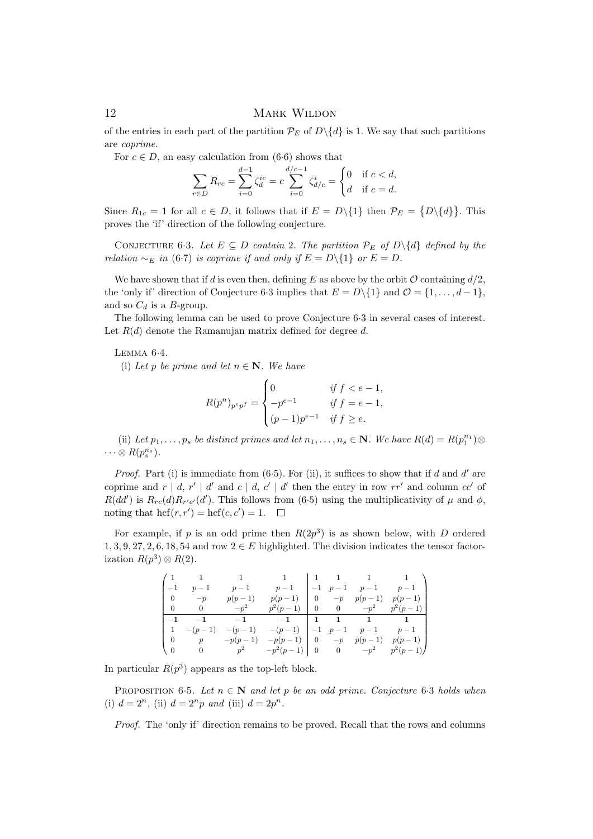of the entries in each part of the partition  $\mathcal{P}_E$  of  $D\backslash\{d\}$  is 1. We say that such partitions are coprime.

For  $c \in D$ , an easy calculation from (6.6) shows that

$$
\sum_{r \in D} R_{rc} = \sum_{i=0}^{d-1} \zeta_d^{ic} = c \sum_{i=0}^{d/c-1} \zeta_{d/c}^i = \begin{cases} 0 & \text{if } c < d, \\ d & \text{if } c = d. \end{cases}
$$

Since  $R_{1c} = 1$  for all  $c \in D$ , it follows that if  $E = D \setminus \{1\}$  then  $\mathcal{P}_E = \{D \setminus \{d\}\}\.$  This proves the 'if' direction of the following conjecture.

CONJECTURE 6.3. Let  $E \subseteq D$  contain 2. The partition  $\mathcal{P}_E$  of  $D \setminus \{d\}$  defined by the relation  $\sim_E$  in (6·7) is coprime if and only if  $E = D\setminus\{1\}$  or  $E = D$ .

We have shown that if d is even then, defining E as above by the orbit  $\mathcal O$  containing  $d/2$ . the 'only if' direction of Conjecture 6.3 implies that  $E = D\setminus\{1\}$  and  $\mathcal{O} = \{1, \ldots, d-1\}$ , and so  $C_d$  is a B-group.

The following lemma can be used to prove Conjecture 6·3 in several cases of interest. Let  $R(d)$  denote the Ramanujan matrix defined for degree d.

Lemma 6·4.

(i) Let p be prime and let  $n \in \mathbb{N}$ . We have

$$
R(p^{n})_{p^{e}p^{f}} = \begin{cases} 0 & \text{if } f < e - 1, \\ -p^{e-1} & \text{if } f = e - 1, \\ (p-1)p^{e-1} & \text{if } f \ge e. \end{cases}
$$

(ii) Let  $p_1, \ldots, p_s$  be distinct primes and let  $n_1, \ldots, n_s \in \mathbb{N}$ . We have  $R(d) = R(p_1^{n_1}) \otimes$  $\cdots \otimes R(p_s^{n_s}).$ 

*Proof.* Part (i) is immediate from  $(6.5)$ . For (ii), it suffices to show that if d and d' are coprime and  $r | d, r' | d'$  and  $c | d, c' | d'$  then the entry in row  $rr'$  and column  $cc'$  of  $R(dd')$  is  $R_{rc}(d)R_{r'c'}(d')$ . This follows from (6.5) using the multiplicativity of  $\mu$  and  $\phi$ , noting that  $\mathrm{hcf}(r, r') = \mathrm{hcf}(c, c') = 1.$ 

For example, if p is an odd prime then  $R(2p^3)$  is as shown below, with D ordered 1, 3, 9, 27, 2, 6, 18, 54 and row  $2 \in E$  highlighted. The division indicates the tensor factorization  $R(p^3) \otimes R(2)$ .

|                                                |          |                    |                                                                        |  | $\begin{array}{cccc} \n\begin{array}{ccc} 1 & 1 & 1 \end{array} & \n\begin{array}{ccc} 1 & 1 & 1 \end{array} & \n\end{array}$ |                                  |
|------------------------------------------------|----------|--------------------|------------------------------------------------------------------------|--|-------------------------------------------------------------------------------------------------------------------------------|----------------------------------|
|                                                | $p-1$    |                    | $p-1$ $p-1$                                                            |  |                                                                                                                               | $-1$ $p-1$ $p-1$ $p-1$           |
| $\begin{bmatrix} 0 \\ 0 \end{bmatrix}$         | $-p$     | $p(p-1)$           | $p(p-1)$                                                               |  | $\begin{vmatrix} 0 & -p & p(p-1) \end{vmatrix}$                                                                               | $p(p-1)$                         |
| $\begin{bmatrix} 0 \\ 0 \end{bmatrix}$         | $\sim$ 0 | $-p^2$             |                                                                        |  |                                                                                                                               | $p^2(p-1)$ 0 0 $-p^2$ $p^2(p-1)$ |
|                                                |          |                    |                                                                        |  |                                                                                                                               |                                  |
|                                                |          |                    | $-1$ $-1$ $-1$ $-1$ $-1$ $1$ $1$ $1$ $1$                               |  |                                                                                                                               |                                  |
|                                                | $-(p-1)$ |                    | $-(p-1)$ $-(p-1)$ $-1$ $p-1$ $p-1$ $p-1$ $-1$                          |  |                                                                                                                               |                                  |
| $\begin{bmatrix} 1 & 0 \\ 0 & 0 \end{bmatrix}$ |          | $p \qquad -p(p-1)$ | $-p(p-1)   0 -p p(p-1)$<br>0 $p^2$ $-p^2(p-1)$   0 0 $-p^2$ $p^2(p-1)$ |  |                                                                                                                               | $p(p-1)$                         |

In particular  $R(p^3)$  appears as the top-left block.

PROPOSITION 6.5. Let  $n \in \mathbb{N}$  and let p be an odd prime. Conjecture 6.3 holds when (i)  $d = 2^n$ , (ii)  $d = 2^n p$  and (iii)  $d = 2p^n$ .

Proof. The 'only if' direction remains to be proved. Recall that the rows and columns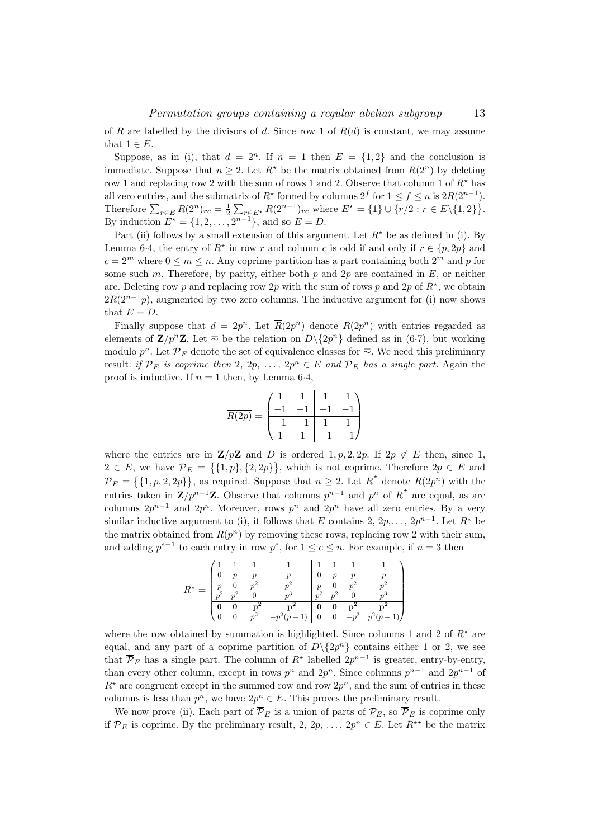of R are labelled by the divisors of d. Since row 1 of  $R(d)$  is constant, we may assume that  $1 \in E$ .

Suppose, as in (i), that  $d = 2^n$ . If  $n = 1$  then  $E = \{1, 2\}$  and the conclusion is immediate. Suppose that  $n \geq 2$ . Let  $R^*$  be the matrix obtained from  $R(2^n)$  by deleting row 1 and replacing row 2 with the sum of rows 1 and 2. Observe that column 1 of  $R^*$  has all zero entries, and the submatrix of  $R^*$  formed by columns  $2^f$  for  $1 \le f \le n$  is  $2R(2^{n-1})$ . Therefore  $\sum_{r \in E} R(2^n)_{rc} = \frac{1}{2} \sum_{r \in E^*} R(2^{n-1})_{rc}$  where  $E^* = \{1\} \cup \{r/2 : r \in E \setminus \{1, 2\}\}.$ By induction  $E^* = \{1, 2, ..., 2^{n-1}\}\$ , and so  $E = D$ .

Part (ii) follows by a small extension of this argument. Let  $R^*$  be as defined in (i). By Lemma 6.4, the entry of  $R^*$  in row r and column c is odd if and only if  $r \in \{p, 2p\}$  and  $c = 2^m$  where  $0 \le m \le n$ . Any coprime partition has a part containing both  $2^m$  and p for some such m. Therefore, by parity, either both p and 2p are contained in E, or neither are. Deleting row p and replacing row 2p with the sum of rows p and 2p of  $R^*$ , we obtain  $2R(2^{n-1}p)$ , augmented by two zero columns. The inductive argument for (i) now shows that  $E = D$ .

Finally suppose that  $d = 2p^n$ . Let  $\overline{R}(2p^n)$  denote  $R(2p^n)$  with entries regarded as elements of  $\mathbf{Z}/p^n\mathbf{Z}$ . Let  $\overline{D}$  be the relation on  $D\backslash\{2p^n\}$  defined as in (6.7), but working modulo  $p^n$ . Let  $\overline{\mathcal{P}}_E$  denote the set of equivalence classes for  $\overline{\sim}$ . We need this preliminary result: if  $\overline{\mathcal{P}}_E$  is coprime then 2, 2p, ..., 2p<sup>n</sup>  $\in E$  and  $\overline{\mathcal{P}}_E$  has a single part. Again the proof is inductive. If  $n = 1$  then, by Lemma 6.4,

$$
\overline{R(2p)} = \begin{pmatrix} 1 & 1 & 1 & 1 \\ -1 & -1 & -1 & -1 \\ \hline -1 & -1 & 1 & 1 \\ 1 & 1 & -1 & -1 \end{pmatrix}
$$

where the entries are in  $\mathbf{Z}/p\mathbf{Z}$  and D is ordered 1, p, 2, 2p. If  $2p \notin E$  then, since 1,  $2 \in E$ , we have  $\overline{\mathcal{P}}_E = \{ \{1, p\}, \{2, 2p\} \}$ , which is not coprime. Therefore  $2p \in E$  and  $\overline{\mathcal{P}}_E = \{\{1, p, 2, 2p\}\}\$ , as required. Suppose that  $n \geq 2$ . Let  $\overline{R}^{\star}$  denote  $R(2p^n)$  with the entries taken in  $\mathbf{Z}/p^{n-1}\mathbf{Z}$ . Observe that columns  $p^{n-1}$  and  $p^n$  of  $\overline{R}^*$  are equal, as are columns  $2p^{n-1}$  and  $2p^n$ . Moreover, rows  $p^n$  and  $2p^n$  have all zero entries. By a very similar inductive argument to (i), it follows that E contains 2,  $2p, \ldots, 2p^{n-1}$ . Let  $R^*$  be the matrix obtained from  $R(p^n)$  by removing these rows, replacing row 2 with their sum, and adding  $p^{e-1}$  to each entry in row  $p^e$ , for  $1 \le e \le n$ . For example, if  $n = 3$  then

$$
R^* = \begin{pmatrix} 1 & 1 & 1 & 1 & 1 & 1 & 1 \\ 0 & p & p & p & 0 & p & p & p \\ p & 0 & p^2 & p^2 & p^2 & p & 0 & p^2 & p^2 \\ p^2 & p^2 & 0 & p^3 & p^2 & p^2 & 0 & p^3 \\ \hline 0 & 0 & -\mathbf{p^2} & -\mathbf{p^2} & \mathbf{0} & \mathbf{0} & \mathbf{p^2} & \mathbf{p^2} \\ 0 & 0 & p^2 & -p^2(p-1) & 0 & 0 & -p^2 & p^2(p-1) \end{pmatrix}
$$

where the row obtained by summation is highlighted. Since columns 1 and 2 of  $R^*$  are equal, and any part of a coprime partition of  $D \setminus \{2p^n\}$  contains either 1 or 2, we see that  $\overline{\mathcal{P}}_E$  has a single part. The column of  $R^*$  labelled  $2p^{n-1}$  is greater, entry-by-entry, than every other column, except in rows  $p^n$  and  $2p^n$ . Since columns  $p^{n-1}$  and  $2p^{n-1}$  of  $R^*$  are congruent except in the summed row and row  $2p^n$ , and the sum of entries in these columns is less than  $p^n$ , we have  $2p^n \in E$ . This proves the preliminary result.

We now prove (ii). Each part of  $\overline{\mathcal{P}}_E$  is a union of parts of  $\mathcal{P}_E$ , so  $\overline{\mathcal{P}}_E$  is coprime only if  $\overline{\mathcal{P}}_E$  is coprime. By the preliminary result, 2, 2p, ..., 2p<sup>n</sup>  $\in E$ . Let  $R^{\star\star}$  be the matrix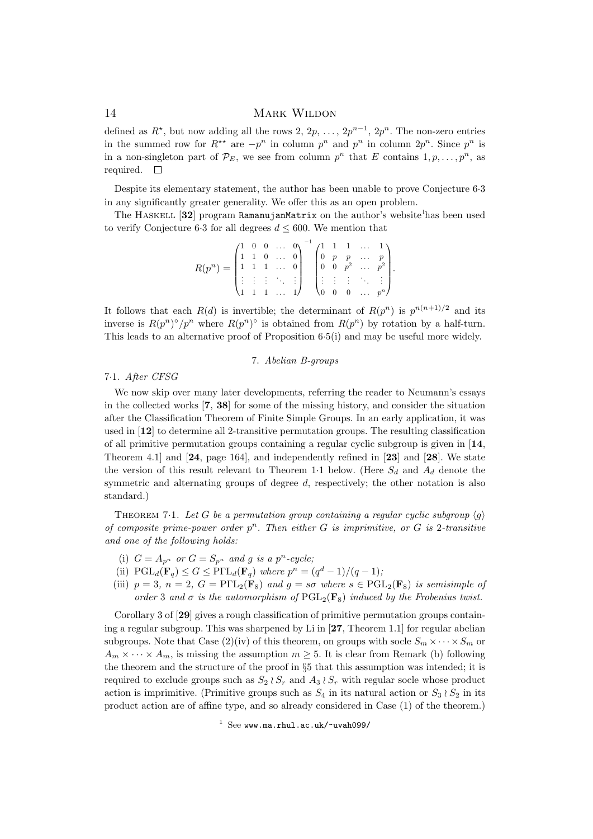defined as  $R^*$ , but now adding all the rows 2,  $2p, \ldots, 2p^{n-1}, 2p^n$ . The non-zero entries in the summed row for  $R^{\star\star}$  are  $-p^n$  in column  $p^n$  and  $p^n$  in column  $2p^n$ . Since  $p^n$  is in a non-singleton part of  $\mathcal{P}_E$ , we see from column  $p^n$  that E contains  $1, p, \ldots, p^n$ , as required.  $\square$ 

Despite its elementary statement, the author has been unable to prove Conjecture 6·3 in any significantly greater generality. We offer this as an open problem.

The HASKELL  $[32]$  program RamanujanMatrix on the author's website<sup>1</sup>has been used to verify Conjecture 6.3 for all degrees  $d \leq 600$ . We mention that

$$
R(p^n) = \begin{pmatrix} 1 & 0 & 0 & \dots & 0 \\ 1 & 1 & 0 & \dots & 0 \\ 1 & 1 & 1 & \dots & 0 \\ \vdots & \vdots & \vdots & \ddots & \vdots \\ 1 & 1 & 1 & \dots & 1 \end{pmatrix}^{-1} \begin{pmatrix} 1 & 1 & 1 & \dots & 1 \\ 0 & p & p & \dots & p \\ 0 & 0 & p^2 & \dots & p^2 \\ \vdots & \vdots & \vdots & \ddots & \vdots \\ 0 & 0 & 0 & \dots & p^n \end{pmatrix}.
$$

It follows that each  $R(d)$  is invertible; the determinant of  $R(p^n)$  is  $p^{n(n+1)/2}$  and its inverse is  $R(p^n)^\circ/p^n$  where  $R(p^n)^\circ$  is obtained from  $R(p^n)$  by rotation by a half-turn. This leads to an alternative proof of Proposition 6·5(i) and may be useful more widely.

### 7. Abelian B-groups

## 7·1. After CFSG

We now skip over many later developments, referring the reader to Neumann's essays in the collected works [7, 38] for some of the missing history, and consider the situation after the Classification Theorem of Finite Simple Groups. In an early application, it was used in [12] to determine all 2-transitive permutation groups. The resulting classification of all primitive permutation groups containing a regular cyclic subgroup is given in [14, Theorem 4.1] and [24, page 164], and independently refined in [23] and [28]. We state the version of this result relevant to Theorem 1.1 below. (Here  $S_d$  and  $A_d$  denote the symmetric and alternating groups of degree d, respectively; the other notation is also standard.)

THEOREM 7.1. Let G be a permutation group containing a regular cyclic subgroup  $\langle q \rangle$ of composite prime-power order  $p^n$ . Then either G is imprimitive, or G is 2-transitive and one of the following holds:

- (i)  $G = A_{p^n}$  or  $G = S_{p^n}$  and g is a  $p^n$ -cycle;
- (ii)  $\text{PGL}_d(\mathbf{F}_q) \leq G \leq \text{P}\Gamma L_d(\mathbf{F}_q)$  where  $p^n = (q^d 1)/(q 1)$ ;
- (iii)  $p = 3$ ,  $n = 2$ ,  $G = P\Gamma L_2(\mathbf{F}_8)$  and  $g = s\sigma$  where  $s \in PGL_2(\mathbf{F}_8)$  is semisimple of order 3 and  $\sigma$  is the automorphism of  $PGL_2(\mathbf{F}_8)$  induced by the Frobenius twist.

Corollary 3 of [29] gives a rough classification of primitive permutation groups containing a regular subgroup. This was sharpened by Li in  $[27,$  Theorem 1.1] for regular abelian subgroups. Note that Case (2)(iv) of this theorem, on groups with socle  $S_m \times \cdots \times S_m$  or  $A_m \times \cdots \times A_m$ , is missing the assumption  $m \geq 5$ . It is clear from Remark (b) following the theorem and the structure of the proof in §5 that this assumption was intended; it is required to exclude groups such as  $S_2 \wr S_r$  and  $A_3 \wr S_r$  with regular socle whose product action is imprimitive. (Primitive groups such as  $S_4$  in its natural action or  $S_3 \wr S_2$  in its product action are of affine type, and so already considered in Case (1) of the theorem.)

 $1$  See www.ma.rhul.ac.uk/~uvah099/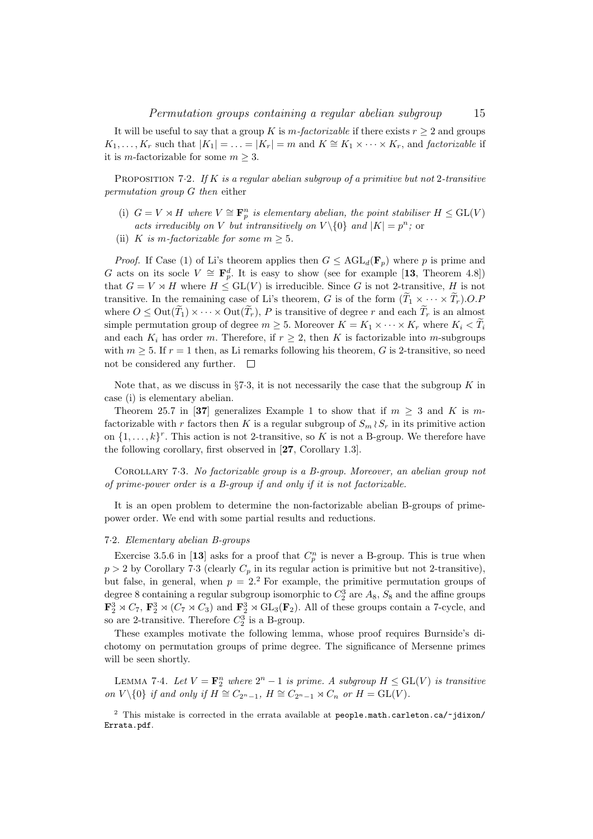It will be useful to say that a group K is  $m$ -factorizable if there exists  $r \geq 2$  and groups  $K_1, \ldots, K_r$  such that  $|K_1| = \ldots = |K_r| = m$  and  $K \cong K_1 \times \cdots \times K_r$ , and *factorizable* if it is *m*-factorizable for some  $m \geq 3$ .

PROPOSITION 7.2. If  $K$  is a regular abelian subgroup of a primitive but not 2-transitive permutation group G then either

- (i)  $G = V \rtimes H$  where  $V \cong \mathbf{F}_{p}^{n}$  is elementary abelian, the point stabiliser  $H \le GL(V)$ acts irreducibly on V but intransitively on  $V \setminus \{0\}$  and  $|K| = p^n$ ; or
- (ii) K is m-factorizable for some  $m \geq 5$ .

*Proof.* If Case (1) of Li's theorem applies then  $G \leq \text{AGL}_d(\mathbf{F}_p)$  where p is prime and G acts on its socle  $V \cong \mathbf{F}_p^d$ . It is easy to show (see for example [13, Theorem 4.8]) that  $G = V \rtimes H$  where  $H \leq GL(V)$  is irreducible. Since G is not 2-transitive, H is not transitive. In the remaining case of Li's theorem, G is of the form  $(\tilde{T}_1 \times \cdots \times \tilde{T}_r)$ .O.P where  $0 \leq Out(\widetilde{T}_1) \times \cdots \times Out(\widetilde{T}_r)$ , P is transitive of degree r and each  $\widetilde{T}_r$  is an almost simple permutation group of degree  $m \geq 5$ . Moreover  $K = K_1 \times \cdots \times K_r$  where  $K_i < \widetilde{T}_i$ and each  $K_i$  has order m. Therefore, if  $r \geq 2$ , then K is factorizable into m-subgroups with  $m \geq 5$ . If  $r = 1$  then, as Li remarks following his theorem, G is 2-transitive, so need not be considered any further.  $\square$ 

Note that, as we discuss in  $\S7.3$ , it is not necessarily the case that the subgroup K in case (i) is elementary abelian.

Theorem 25.7 in [37] generalizes Example 1 to show that if  $m > 3$  and K is mfactorizable with r factors then K is a regular subgroup of  $S_m \wr S_r$  in its primitive action on  $\{1, \ldots, k\}^r$ . This action is not 2-transitive, so K is not a B-group. We therefore have the following corollary, first observed in [27, Corollary 1.3].

Corollary 7·3. No factorizable group is a B-group. Moreover, an abelian group not of prime-power order is a B-group if and only if it is not factorizable.

It is an open problem to determine the non-factorizable abelian B-groups of primepower order. We end with some partial results and reductions.

#### 7·2. Elementary abelian B-groups

Exercise 3.5.6 in [13] asks for a proof that  $C_p^n$  is never a B-group. This is true when  $p > 2$  by Corollary 7.3 (clearly  $C_p$  in its regular action is primitive but not 2-transitive), but false, in general, when  $p = 2<sup>2</sup>$  For example, the primitive permutation groups of degree 8 containing a regular subgroup isomorphic to  $C_2^3$  are  $A_8$ ,  $S_8$  and the affine groups  $\mathbf{F}_2^3 \rtimes C_7$ ,  $\mathbf{F}_2^3 \rtimes (C_7 \rtimes C_3)$  and  $\mathbf{F}_2^3 \rtimes GL_3(\mathbf{F}_2)$ . All of these groups contain a 7-cycle, and so are 2-transitive. Therefore  $C_2^3$  is a B-group.

These examples motivate the following lemma, whose proof requires Burnside's dichotomy on permutation groups of prime degree. The significance of Mersenne primes will be seen shortly.

LEMMA 7.4. Let  $V = \mathbf{F}_2^n$  where  $2^n - 1$  is prime. A subgroup  $H \le GL(V)$  is transitive on  $V \setminus \{0\}$  if and only if  $H \cong C_{2^n-1}$ ,  $H \cong C_{2^n-1} \rtimes C_n$  or  $H = GL(V)$ .

 $2$  This mistake is corrected in the errata available at people.math.carleton.ca/~jdixon/ Errata.pdf.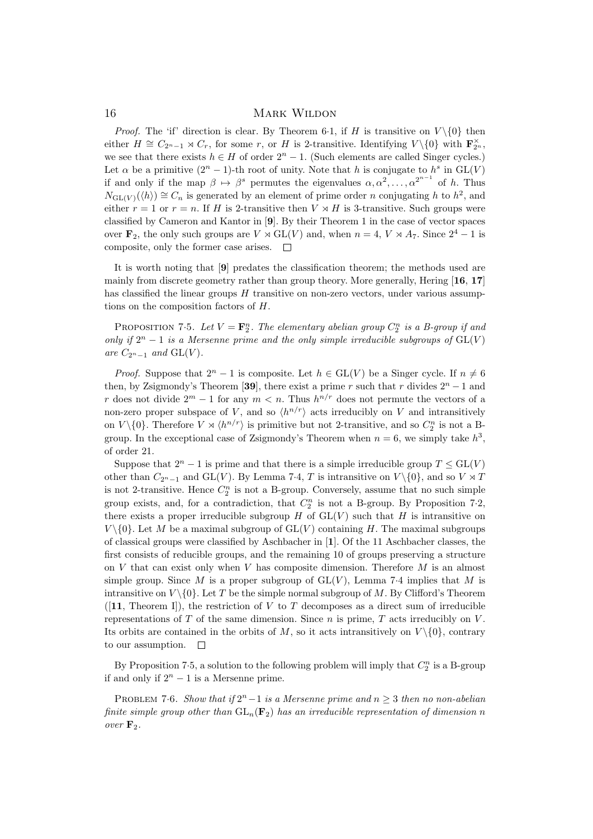*Proof.* The 'if' direction is clear. By Theorem 6.1, if H is transitive on  $V \setminus \{0\}$  then either  $H \cong C_{2^n-1} \rtimes C_r$ , for some r, or H is 2-transitive. Identifying  $V \setminus \{0\}$  with  $\mathbf{F}_{2^n}^{\times}$ , we see that there exists  $h \in H$  of order  $2<sup>n</sup> - 1$ . (Such elements are called Singer cycles.) Let  $\alpha$  be a primitive  $(2^n - 1)$ -th root of unity. Note that h is conjugate to  $h^s$  in  $GL(V)$ if and only if the map  $\beta \mapsto \beta^s$  permutes the eigenvalues  $\alpha, \alpha^2, \dots, \alpha^{2^{n-1}}$  of h. Thus  $N_{\text{GL}(V)}(\langle h \rangle) \cong C_n$  is generated by an element of prime order n conjugating h to  $h^2$ , and either  $r = 1$  or  $r = n$ . If H is 2-transitive then  $V \times H$  is 3-transitive. Such groups were classified by Cameron and Kantor in [9]. By their Theorem 1 in the case of vector spaces over  $\mathbf{F}_2$ , the only such groups are  $V \rtimes GL(V)$  and, when  $n = 4$ ,  $V \rtimes A_7$ . Since  $2^4 - 1$  is composite, only the former case arises.  $\Box$ 

It is worth noting that [9] predates the classification theorem; the methods used are mainly from discrete geometry rather than group theory. More generally, Hering [16, 17] has classified the linear groups  $H$  transitive on non-zero vectors, under various assumptions on the composition factors of H.

PROPOSITION 7.5. Let  $V = \mathbf{F}_2^n$ . The elementary abelian group  $C_2^n$  is a B-group if and only if  $2^n - 1$  is a Mersenne prime and the only simple irreducible subgroups of  $GL(V)$ are  $C_{2^n-1}$  and  $GL(V)$ .

*Proof.* Suppose that  $2^{n} - 1$  is composite. Let  $h \in GL(V)$  be a Singer cycle. If  $n \neq 6$ then, by Zsigmondy's Theorem [39], there exist a prime r such that r divides  $2<sup>n</sup> - 1$  and r does not divide  $2^m - 1$  for any  $m < n$ . Thus  $h^{n/r}$  does not permute the vectors of a non-zero proper subspace of V, and so  $\langle h^{n/r} \rangle$  acts irreducibly on V and intransitively on  $V \setminus \{0\}$ . Therefore  $V \rtimes \langle h^{n/r} \rangle$  is primitive but not 2-transitive, and so  $C_2^n$  is not a Bgroup. In the exceptional case of Zsigmondy's Theorem when  $n = 6$ , we simply take  $h^3$ , of order 21.

Suppose that  $2^{n} - 1$  is prime and that there is a simple irreducible group  $T \le GL(V)$ other than  $C_{2^n-1}$  and  $GL(V)$ . By Lemma 7·4, T is intransitive on  $V \setminus \{0\}$ , and so  $V \rtimes T$ is not 2-transitive. Hence  $C_2^n$  is not a B-group. Conversely, assume that no such simple group exists, and, for a contradiction, that  $C_2^n$  is not a B-group. By Proposition 7.2, there exists a proper irreducible subgroup H of  $GL(V)$  such that H is intransitive on  $V \setminus \{0\}$ . Let M be a maximal subgroup of  $GL(V)$  containing H. The maximal subgroups of classical groups were classified by Aschbacher in [1]. Of the 11 Aschbacher classes, the first consists of reducible groups, and the remaining 10 of groups preserving a structure on  $V$  that can exist only when  $V$  has composite dimension. Therefore  $M$  is an almost simple group. Since M is a proper subgroup of  $GL(V)$ , Lemma 7.4 implies that M is intransitive on  $V \setminus \{0\}$ . Let T be the simple normal subgroup of M. By Clifford's Theorem  $([11,$  Theorem I), the restriction of V to T decomposes as a direct sum of irreducible representations of  $T$  of the same dimension. Since  $n$  is prime,  $T$  acts irreducibly on  $V$ . Its orbits are contained in the orbits of M, so it acts intransitively on  $V \setminus \{0\}$ , contrary to our assumption.  $\square$ 

By Proposition 7.5, a solution to the following problem will imply that  $C_2^n$  is a B-group if and only if  $2^n - 1$  is a Mersenne prime.

PROBLEM 7.6. Show that if  $2^n - 1$  is a Mersenne prime and  $n \geq 3$  then no non-abelian finite simple group other than  $GL_n(\mathbf{F}_2)$  has an irreducible representation of dimension n over  $\mathbf{F}_2$ .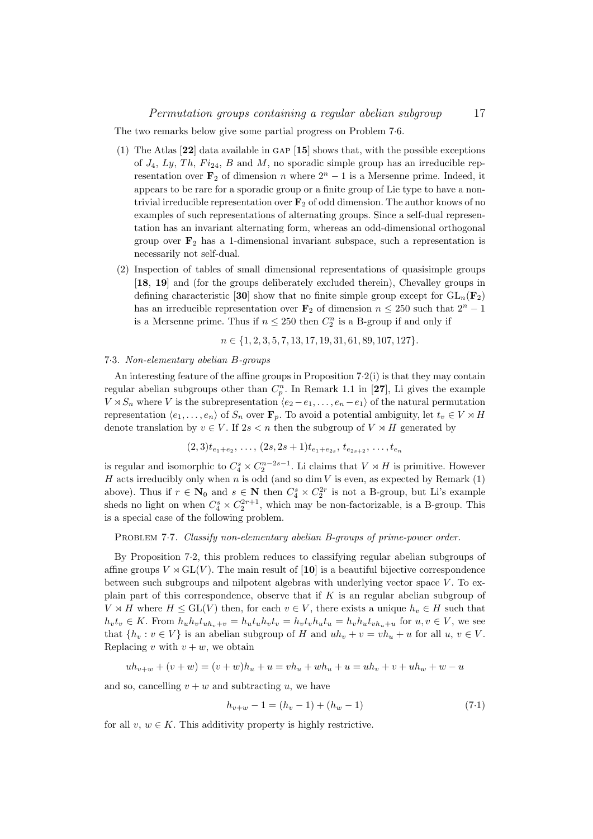The two remarks below give some partial progress on Problem 7·6.

- (1) The Atlas [22] data available in gap [15] shows that, with the possible exceptions of  $J_4$ ,  $Ly$ ,  $Th$ ,  $Fi_{24}$ ,  $B$  and  $M$ , no sporadic simple group has an irreducible representation over  $\mathbf{F}_2$  of dimension n where  $2^n - 1$  is a Mersenne prime. Indeed, it appears to be rare for a sporadic group or a finite group of Lie type to have a nontrivial irreducible representation over  $\mathbf{F}_2$  of odd dimension. The author knows of no examples of such representations of alternating groups. Since a self-dual representation has an invariant alternating form, whereas an odd-dimensional orthogonal group over  $\mathbf{F}_2$  has a 1-dimensional invariant subspace, such a representation is necessarily not self-dual.
- (2) Inspection of tables of small dimensional representations of quasisimple groups [18, 19] and (for the groups deliberately excluded therein), Chevalley groups in defining characteristic [30] show that no finite simple group except for  $GL_n(\mathbf{F}_2)$ has an irreducible representation over  $\mathbf{F}_2$  of dimension  $n \leq 250$  such that  $2^n - 1$ is a Mersenne prime. Thus if  $n \leq 250$  then  $C_2^n$  is a B-group if and only if

$$
n \in \{1, 2, 3, 5, 7, 13, 17, 19, 31, 61, 89, 107, 127\}.
$$

#### 7·3. Non-elementary abelian B-groups

An interesting feature of the affine groups in Proposition  $7.2(i)$  is that they may contain regular abelian subgroups other than  $C_p^n$ . In Remark 1.1 in [27], Li gives the example  $V \rtimes S_n$  where V is the subrepresentation  $\langle e_2 - e_1, \ldots, e_n - e_1 \rangle$  of the natural permutation representation  $\langle e_1, \ldots, e_n \rangle$  of  $S_n$  over  $\mathbf{F}_p$ . To avoid a potential ambiguity, let  $t_v \in V \rtimes H$ denote translation by  $v \in V$ . If  $2s < n$  then the subgroup of  $V \rtimes H$  generated by

$$
(2,3)t_{e_1+e_2},\ldots,(2s,2s+1)t_{e_1+e_{2s}},\,t_{e_{2s+2}},\ldots,t_{e_n}
$$

is regular and isomorphic to  $C_4^s \times C_2^{n-2s-1}$ . Li claims that  $V \rtimes H$  is primitive. However H acts irreducibly only when  $n$  is odd (and so dim  $V$  is even, as expected by Remark (1) above). Thus if  $r \in \mathbb{N}_0$  and  $s \in \mathbb{N}$  then  $C_4^s \times C_2^{2r}$  is not a B-group, but Li's example sheds no light on when  $C_4^s \times C_2^{2r+1}$ , which may be non-factorizable, is a B-group. This is a special case of the following problem.

PROBLEM 7.7. Classify non-elementary abelian B-groups of prime-power order.

By Proposition 7·2, this problem reduces to classifying regular abelian subgroups of affine groups  $V \rtimes GL(V)$ . The main result of [10] is a beautiful bijective correspondence between such subgroups and nilpotent algebras with underlying vector space V . To explain part of this correspondence, observe that if  $K$  is an regular abelian subgroup of  $V \rtimes H$  where  $H \leq \text{GL}(V)$  then, for each  $v \in V$ , there exists a unique  $h_v \in H$  such that  $h_v t_v \in K$ . From  $h_u h_v t_{uh_v+v} = h_u t_u h_v t_v = h_v t_v h_u t_u = h_v h_u t_{vh_u+u}$  for  $u, v \in V$ , we see that  $\{h_v : v \in V\}$  is an abelian subgroup of H and  $uh_v + v = vh_u + u$  for all  $u, v \in V$ . Replacing v with  $v + w$ , we obtain

$$
uh_{v+w} + (v+w) = (v+w)h_u + u = vh_u + wh_u + u = uh_v + v + uh_w + w - u
$$

and so, cancelling  $v + w$  and subtracting u, we have

$$
h_{v+w} - 1 = (h_v - 1) + (h_w - 1) \tag{7.1}
$$

for all  $v, w \in K$ . This additivity property is highly restrictive.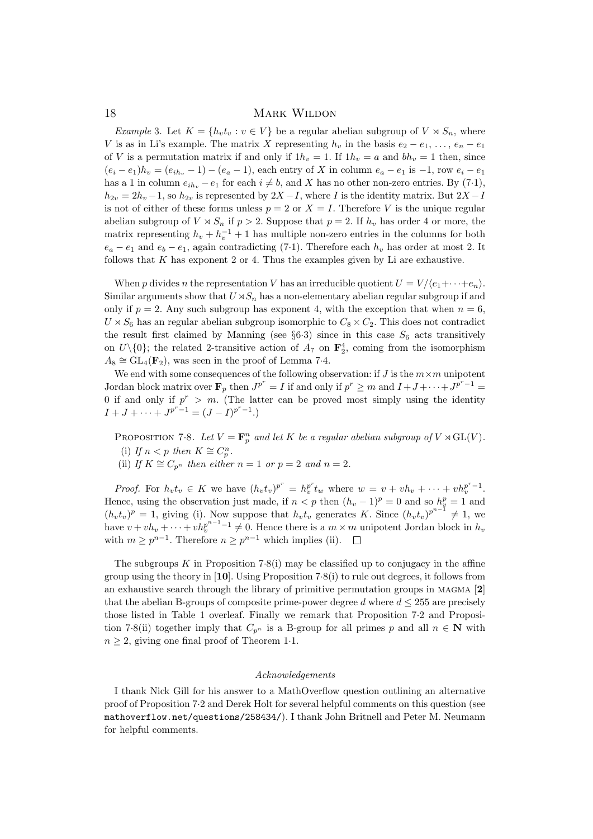Example 3. Let  $K = \{h_v t_v : v \in V\}$  be a regular abelian subgroup of  $V \rtimes S_n$ , where V is as in Li's example. The matrix X representing  $h_v$  in the basis  $e_2 - e_1, \ldots, e_n - e_1$ of V is a permutation matrix if and only if  $1h_v = 1$ . If  $1h_v = a$  and  $bh_v = 1$  then, since  $(e_i - e_1)h_v = (e_{ih_v} - 1) - (e_a - 1)$ , each entry of X in column  $e_a - e_1$  is  $-1$ , row  $e_i - e_1$ has a 1 in column  $e_{ih_v} - e_1$  for each  $i \neq b$ , and X has no other non-zero entries. By (7·1),  $h_{2v} = 2h_v - 1$ , so  $h_{2v}$  is represented by  $2X - I$ , where I is the identity matrix. But  $2X - I$ is not of either of these forms unless  $p = 2$  or  $X = I$ . Therefore V is the unique regular abelian subgroup of  $V \rtimes S_n$  if  $p > 2$ . Suppose that  $p = 2$ . If  $h_v$  has order 4 or more, the matrix representing  $h_v + h_v^{-1} + 1$  has multiple non-zero entries in the columns for both  $e_a - e_1$  and  $e_b - e_1$ , again contradicting (7.1). Therefore each  $h_v$  has order at most 2. It follows that K has exponent 2 or 4. Thus the examples given by Li are exhaustive.

When p divides n the representation V has an irreducible quotient  $U = V/(e_1 + \cdots + e_n)$ . Similar arguments show that  $U\rtimes S_n$  has a non-elementary abelian regular subgroup if and only if  $p = 2$ . Any such subgroup has exponent 4, with the exception that when  $n = 6$ ,  $U \rtimes S_6$  has an regular abelian subgroup isomorphic to  $C_8 \times C_2$ . This does not contradict the result first claimed by Manning (see §6.3) since in this case  $S_6$  acts transitively on  $U\setminus\{0\}$ ; the related 2-transitive action of  $A_7$  on  $\mathbf{F}_2^4$ , coming from the isomorphism  $A_8 \cong GL_4(\mathbf{F}_2)$ , was seen in the proof of Lemma 7.4.

We end with some consequences of the following observation: if  $J$  is the  $m \times m$  unipotent Jordan block matrix over  $\mathbf{F}_p$  then  $J^{p^r} = I$  if and only if  $p^r \geq m$  and  $I + J + \cdots + J^{p^r-1} =$ 0 if and only if  $p^r > m$ . (The latter can be proved most simply using the identity  $I + J + \cdots + J^{p^r-1} = (J - I)^{p^r-1}.$ 

PROPOSITION 7.8. Let  $V = \mathbf{F}_p^n$  and let K be a regular abelian subgroup of  $V \rtimes GL(V)$ . (i) If  $n < p$  then  $K \cong C_p^n$ .

(ii) If  $K \cong C_{p^n}$  then either  $n = 1$  or  $p = 2$  and  $n = 2$ .

*Proof.* For  $h_v t_v \in K$  we have  $(h_v t_v)^{p^r} = h_v^{p^r} t_w$  where  $w = v + v h_v + \cdots + v h_v^{p^r-1}$ . Hence, using the observation just made, if  $n < p$  then  $(h_v - 1)^p = 0$  and so  $h_v^p = 1$  and  $(h_v t_v)^p = 1$ , giving (i). Now suppose that  $h_v t_v$  generates K. Since  $(h_v t_v)^{p^{n-1}} \neq 1$ , we have  $v + v h_v + \cdots + v h_v^{p^{n-1}-1} \neq 0$ . Hence there is a  $m \times m$  unipotent Jordan block in  $h_v$ with  $m \geq p^{n-1}$ . Therefore  $n \geq p^{n-1}$  which implies (ii).

The subgroups  $K$  in Proposition 7.8(i) may be classified up to conjugacy in the affine group using the theory in [10]. Using Proposition 7·8(i) to rule out degrees, it follows from an exhaustive search through the library of primitive permutation groups in MAGMA  $[2]$ that the abelian B-groups of composite prime-power degree d where  $d \leq 255$  are precisely those listed in Table 1 overleaf. Finally we remark that Proposition 7·2 and Proposition 7·8(ii) together imply that  $C_{p^n}$  is a B-group for all primes p and all  $n \in \mathbb{N}$  with  $n \geq 2$ , giving one final proof of Theorem 1.1.

### Acknowledgements

I thank Nick Gill for his answer to a MathOverflow question outlining an alternative proof of Proposition 7·2 and Derek Holt for several helpful comments on this question (see mathoverflow.net/questions/258434/). I thank John Britnell and Peter M. Neumann for helpful comments.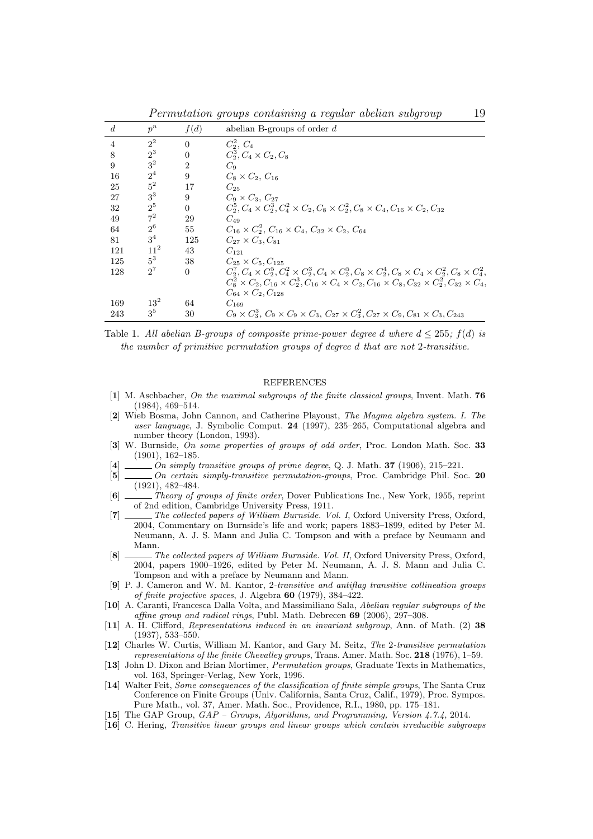Permutation groups containing a regular abelian subgroup 19

| $\boldsymbol{d}$ | $p^n$           | f(d)           | abelian B-groups of order $d$                                                                                                     |
|------------------|-----------------|----------------|-----------------------------------------------------------------------------------------------------------------------------------|
| $\overline{4}$   | $2^2$           | $\overline{0}$ | $C_2^2, C_4$                                                                                                                      |
| 8                | $2^3$           | $\overline{0}$ | $C_2^3$ , $C_4 \times C_2$ , $C_8$                                                                                                |
| 9                | 3 <sup>2</sup>  | $\overline{2}$ | $C_9$                                                                                                                             |
| 16               | $2^4$           | 9              | $C_8 \times C_2, C_{16}$                                                                                                          |
| 25               | $5^2$           | 17             | $C_{25}$                                                                                                                          |
| 27               | 3 <sup>3</sup>  | 9              | $C_9 \times C_3$ , $C_{27}$                                                                                                       |
| 32               | $2^5$           | $\overline{0}$ | $C_2^5, C_4 \times C_2^3, C_4^2 \times C_2, C_8 \times C_2^2, C_8 \times C_4, C_{16} \times C_2, C_{32}$                          |
| 49               | $7^2$           | 29             | $C_{49}$                                                                                                                          |
| 64               | $2^6$           | 55             | $C_{16} \times C_2^2$ , $C_{16} \times C_4$ , $C_{32} \times C_2$ , $C_{64}$                                                      |
| 81               | 3 <sup>4</sup>  | 125            | $C_{27} \times C_3, C_{81}$                                                                                                       |
| 121              | 11 <sup>2</sup> | 43             | $C_{121}$                                                                                                                         |
| 125              | $5^3$           | 38             | $C_{25} \times C_5$ , $C_{125}$                                                                                                   |
| 128              | $2^7$           | $\Omega$       | $C_2^7, C_4 \times C_2^5, C_4^2 \times C_2^3, C_4 \times C_2^5, C_8 \times C_2^4, C_8 \times C_4 \times C_2^2, C_8 \times C_4^2,$ |
|                  |                 |                | $C_8^2 \times C_2, C_{16} \times C_2^3, C_{16} \times C_4 \times C_2, C_{16} \times C_8, C_{32} \times C_2^2, C_{32} \times C_4,$ |
|                  |                 |                | $C_{64} \times C_2, C_{128}$                                                                                                      |
| 169              | $13^2$          | 64             | $C_{169}$                                                                                                                         |
| 243              | $3^5$           | 30             | $C_9 \times C_3^3$ , $C_9 \times C_9 \times C_3$ , $C_{27} \times C_3^2$ , $C_{27} \times C_9$ , $C_{81} \times C_3$ , $C_{243}$  |

Table 1. All abelian B-groups of composite prime-power degree d where  $d \leq 255$ ;  $f(d)$  is the number of primitive permutation groups of degree d that are not 2-transitive.

#### REFERENCES

- [1] M. Aschbacher, On the maximal subgroups of the finite classical groups, Invent. Math. 76 (1984), 469–514.
- [2] Wieb Bosma, John Cannon, and Catherine Playoust, The Magma algebra system. I. The user language, J. Symbolic Comput. 24 (1997), 235–265, Computational algebra and number theory (London, 1993).
- [3] W. Burnside, On some properties of groups of odd order, Proc. London Math. Soc. 33 (1901), 162–185.
- $[4]$  \_\_\_\_\_\_\_ On simply transitive groups of prime degree, Q. J. Math. 37 (1906), 215–221.
- [5] \_\_\_\_\_\_ On certain simply-transitive permutation-groups, Proc. Cambridge Phil. Soc. 20 (1921), 482–484.
- $[6]$   $\frac{1}{\sqrt{6}}$  Theory of groups of finite order, Dover Publications Inc., New York, 1955, reprint of 2nd edition, Cambridge University Press, 1911.
- [7] The collected papers of William Burnside. Vol. I, Oxford University Press, Oxford, 2004, Commentary on Burnside's life and work; papers 1883–1899, edited by Peter M. Neumann, A. J. S. Mann and Julia C. Tompson and with a preface by Neumann and Mann.
- [8] The collected papers of William Burnside. Vol. II, Oxford University Press, Oxford, 2004, papers 1900–1926, edited by Peter M. Neumann, A. J. S. Mann and Julia C. Tompson and with a preface by Neumann and Mann.
- [9] P. J. Cameron and W. M. Kantor, 2-transitive and antiflag transitive collineation groups of finite projective spaces, J. Algebra 60 (1979), 384–422.
- [10] A. Caranti, Francesca Dalla Volta, and Massimiliano Sala, Abelian regular subgroups of the affine group and radical rings, Publ. Math. Debrecen 69 (2006), 297–308.
- [11] A. H. Clifford, Representations induced in an invariant subgroup, Ann. of Math. (2) 38 (1937), 533–550.
- [12] Charles W. Curtis, William M. Kantor, and Gary M. Seitz, The 2-transitive permutation representations of the finite Chevalley groups, Trans. Amer. Math. Soc. 218 (1976), 1–59.
- [13] John D. Dixon and Brian Mortimer, Permutation groups, Graduate Texts in Mathematics, vol. 163, Springer-Verlag, New York, 1996.
- [14] Walter Feit, Some consequences of the classification of finite simple groups, The Santa Cruz Conference on Finite Groups (Univ. California, Santa Cruz, Calif., 1979), Proc. Sympos. Pure Math., vol. 37, Amer. Math. Soc., Providence, R.I., 1980, pp. 175–181.
- [15] The GAP Group,  $GAP$  Groups, Algorithms, and Programming, Version 4.7.4, 2014.
- [16] C. Hering, Transitive linear groups and linear groups which contain irreducible subgroups